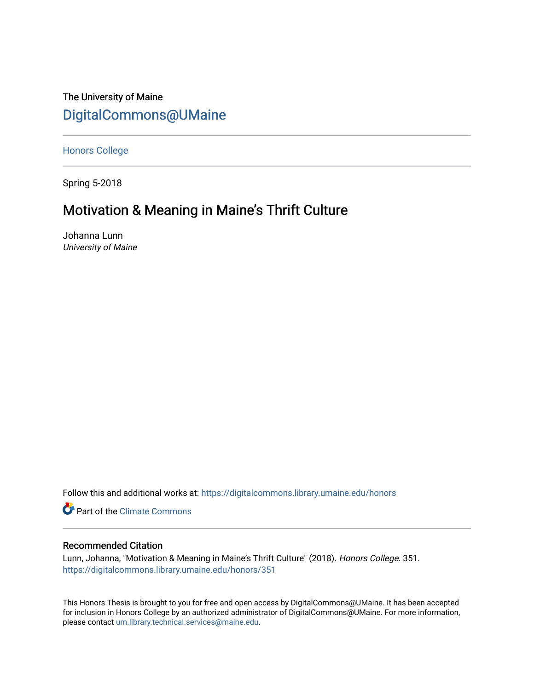The University of Maine [DigitalCommons@UMaine](https://digitalcommons.library.umaine.edu/)

[Honors College](https://digitalcommons.library.umaine.edu/honors)

Spring 5-2018

# Motivation & Meaning in Maine's Thrift Culture

Johanna Lunn University of Maine

Follow this and additional works at: [https://digitalcommons.library.umaine.edu/honors](https://digitalcommons.library.umaine.edu/honors?utm_source=digitalcommons.library.umaine.edu%2Fhonors%2F351&utm_medium=PDF&utm_campaign=PDFCoverPages) 

Part of the [Climate Commons](http://network.bepress.com/hgg/discipline/188?utm_source=digitalcommons.library.umaine.edu%2Fhonors%2F351&utm_medium=PDF&utm_campaign=PDFCoverPages) 

## Recommended Citation

Lunn, Johanna, "Motivation & Meaning in Maine's Thrift Culture" (2018). Honors College. 351. [https://digitalcommons.library.umaine.edu/honors/351](https://digitalcommons.library.umaine.edu/honors/351?utm_source=digitalcommons.library.umaine.edu%2Fhonors%2F351&utm_medium=PDF&utm_campaign=PDFCoverPages) 

This Honors Thesis is brought to you for free and open access by DigitalCommons@UMaine. It has been accepted for inclusion in Honors College by an authorized administrator of DigitalCommons@UMaine. For more information, please contact [um.library.technical.services@maine.edu.](mailto:um.library.technical.services@maine.edu)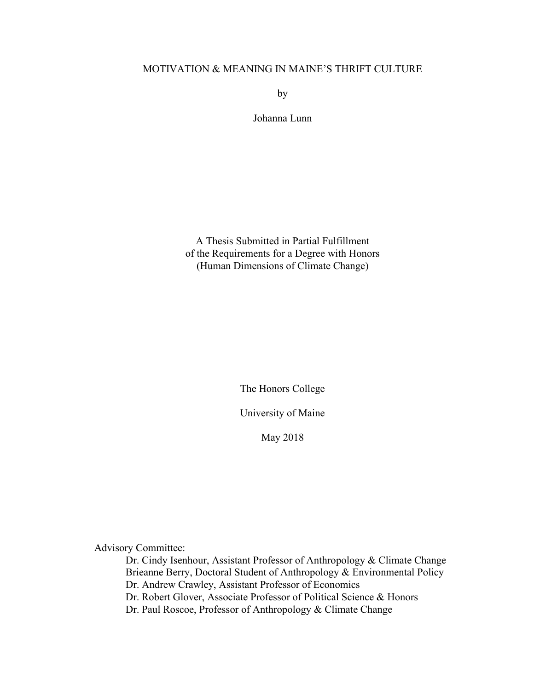## MOTIVATION & MEANING IN MAINE'S THRIFT CULTURE

by

Johanna Lunn

A Thesis Submitted in Partial Fulfillment of the Requirements for a Degree with Honors (Human Dimensions of Climate Change)

The Honors College

University of Maine

May 2018

Advisory Committee:

Dr. Cindy Isenhour, Assistant Professor of Anthropology & Climate Change Brieanne Berry, Doctoral Student of Anthropology & Environmental Policy Dr. Andrew Crawley, Assistant Professor of Economics Dr. Robert Glover, Associate Professor of Political Science & Honors

Dr. Paul Roscoe, Professor of Anthropology & Climate Change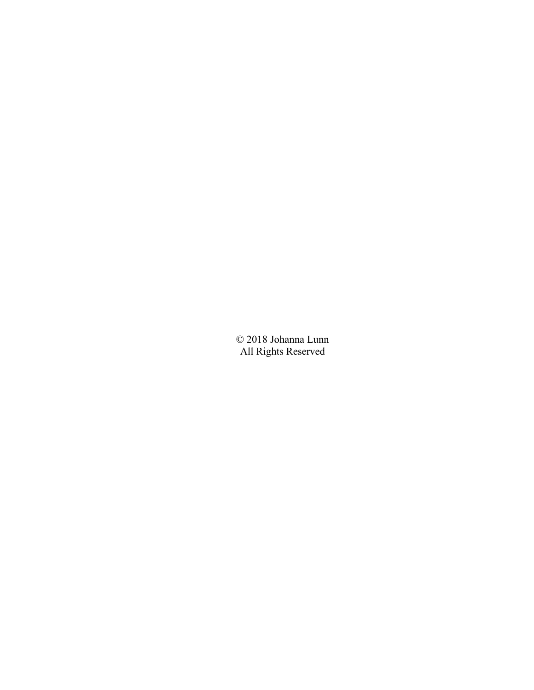© 2018 Johanna Lunn All Rights Reserved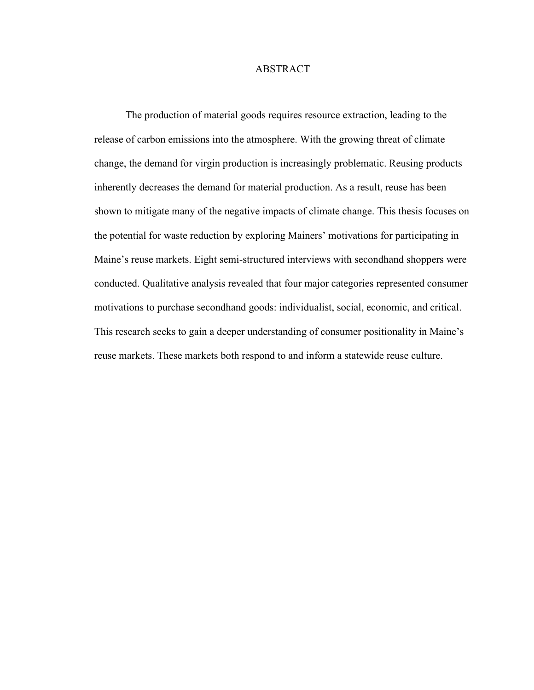## ABSTRACT

The production of material goods requires resource extraction, leading to the release of carbon emissions into the atmosphere. With the growing threat of climate change, the demand for virgin production is increasingly problematic. Reusing products inherently decreases the demand for material production. As a result, reuse has been shown to mitigate many of the negative impacts of climate change. This thesis focuses on the potential for waste reduction by exploring Mainers' motivations for participating in Maine's reuse markets. Eight semi-structured interviews with secondhand shoppers were conducted. Qualitative analysis revealed that four major categories represented consumer motivations to purchase secondhand goods: individualist, social, economic, and critical. This research seeks to gain a deeper understanding of consumer positionality in Maine's reuse markets. These markets both respond to and inform a statewide reuse culture.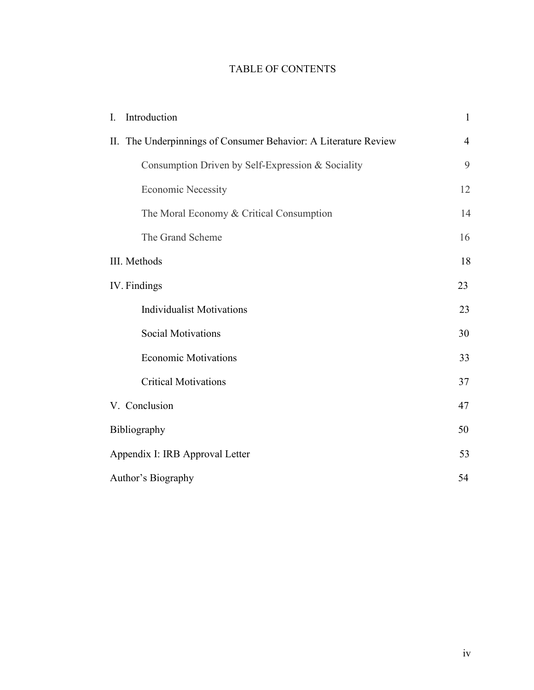## TABLE OF CONTENTS

| Introduction<br>$\mathbf{I}$ .                                  | $\mathbf{1}$   |  |  |
|-----------------------------------------------------------------|----------------|--|--|
| II. The Underpinnings of Consumer Behavior: A Literature Review | $\overline{4}$ |  |  |
| Consumption Driven by Self-Expression & Sociality               | 9              |  |  |
| <b>Economic Necessity</b>                                       | 12             |  |  |
| The Moral Economy & Critical Consumption                        | 14             |  |  |
| The Grand Scheme                                                | 16             |  |  |
| III. Methods                                                    | 18             |  |  |
| IV. Findings                                                    |                |  |  |
| <b>Individualist Motivations</b>                                | 23             |  |  |
| <b>Social Motivations</b>                                       | 30             |  |  |
| <b>Economic Motivations</b>                                     | 33             |  |  |
| <b>Critical Motivations</b>                                     | 37             |  |  |
| V. Conclusion                                                   | 47             |  |  |
| Bibliography                                                    | 50             |  |  |
| Appendix I: IRB Approval Letter                                 |                |  |  |
| Author's Biography                                              |                |  |  |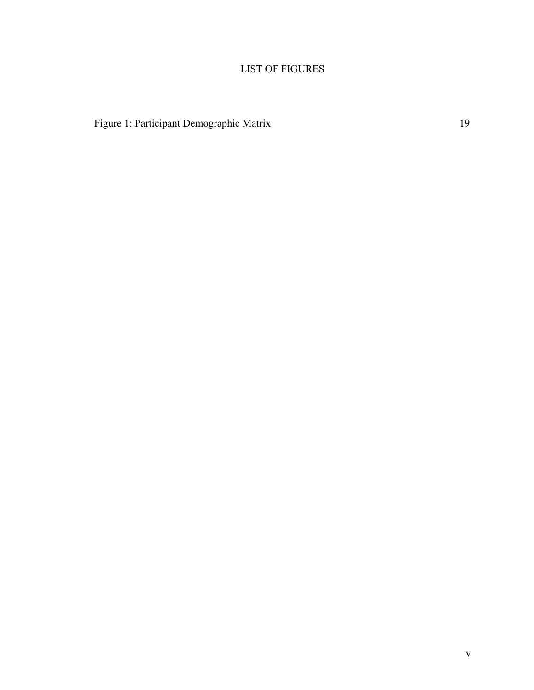## LIST OF FIGURES

Figure 1: Participant Demographic Matrix 19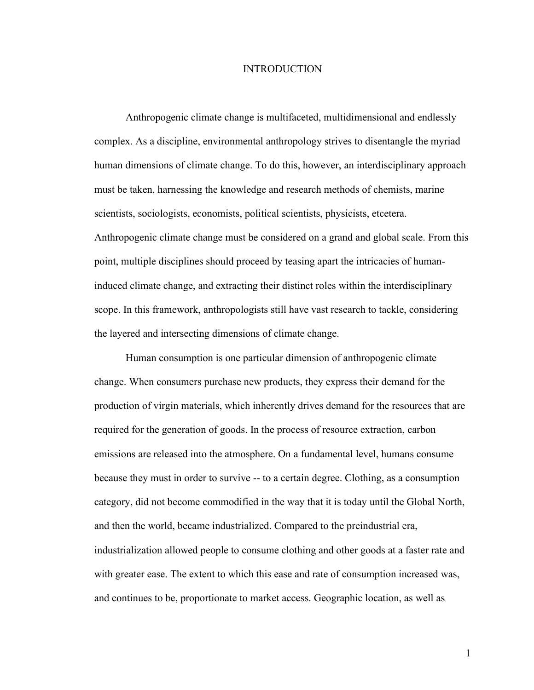#### INTRODUCTION

Anthropogenic climate change is multifaceted, multidimensional and endlessly complex. As a discipline, environmental anthropology strives to disentangle the myriad human dimensions of climate change. To do this, however, an interdisciplinary approach must be taken, harnessing the knowledge and research methods of chemists, marine scientists, sociologists, economists, political scientists, physicists, etcetera. Anthropogenic climate change must be considered on a grand and global scale. From this point, multiple disciplines should proceed by teasing apart the intricacies of humaninduced climate change, and extracting their distinct roles within the interdisciplinary scope. In this framework, anthropologists still have vast research to tackle, considering the layered and intersecting dimensions of climate change.

Human consumption is one particular dimension of anthropogenic climate change. When consumers purchase new products, they express their demand for the production of virgin materials, which inherently drives demand for the resources that are required for the generation of goods. In the process of resource extraction, carbon emissions are released into the atmosphere. On a fundamental level, humans consume because they must in order to survive -- to a certain degree. Clothing, as a consumption category, did not become commodified in the way that it is today until the Global North, and then the world, became industrialized. Compared to the preindustrial era, industrialization allowed people to consume clothing and other goods at a faster rate and with greater ease. The extent to which this ease and rate of consumption increased was, and continues to be, proportionate to market access. Geographic location, as well as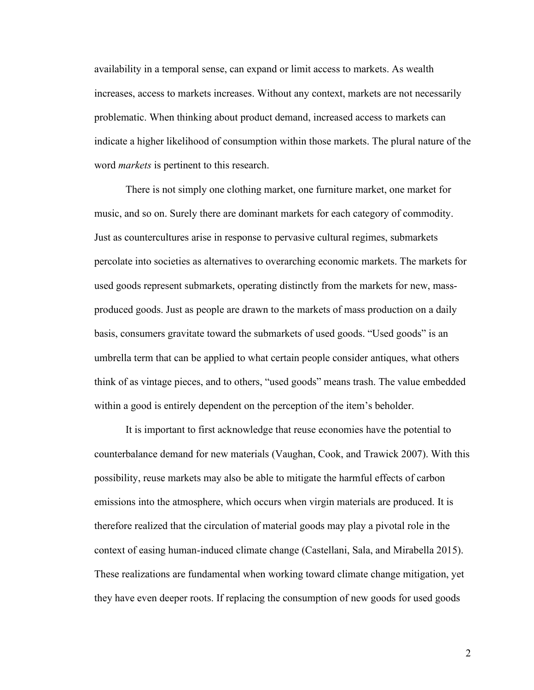availability in a temporal sense, can expand or limit access to markets. As wealth increases, access to markets increases. Without any context, markets are not necessarily problematic. When thinking about product demand, increased access to markets can indicate a higher likelihood of consumption within those markets. The plural nature of the word *markets* is pertinent to this research.

There is not simply one clothing market, one furniture market, one market for music, and so on. Surely there are dominant markets for each category of commodity. Just as countercultures arise in response to pervasive cultural regimes, submarkets percolate into societies as alternatives to overarching economic markets. The markets for used goods represent submarkets, operating distinctly from the markets for new, massproduced goods. Just as people are drawn to the markets of mass production on a daily basis, consumers gravitate toward the submarkets of used goods. "Used goods" is an umbrella term that can be applied to what certain people consider antiques, what others think of as vintage pieces, and to others, "used goods" means trash. The value embedded within a good is entirely dependent on the perception of the item's beholder.

It is important to first acknowledge that reuse economies have the potential to counterbalance demand for new materials (Vaughan, Cook, and Trawick 2007). With this possibility, reuse markets may also be able to mitigate the harmful effects of carbon emissions into the atmosphere, which occurs when virgin materials are produced. It is therefore realized that the circulation of material goods may play a pivotal role in the context of easing human-induced climate change (Castellani, Sala, and Mirabella 2015). These realizations are fundamental when working toward climate change mitigation, yet they have even deeper roots. If replacing the consumption of new goods for used goods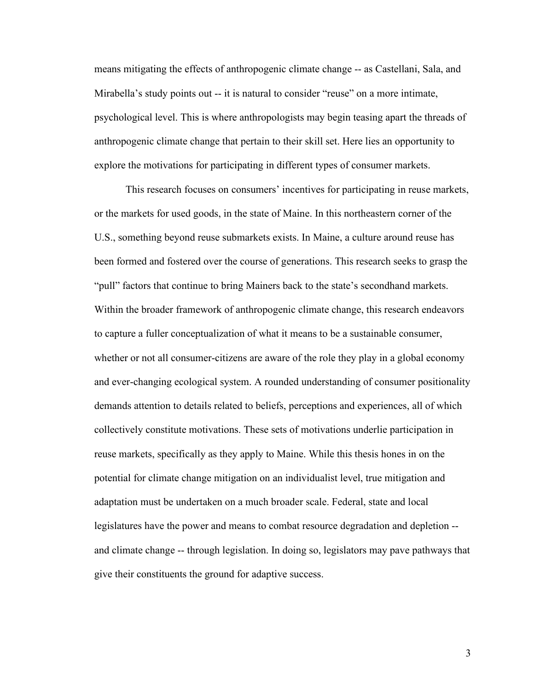means mitigating the effects of anthropogenic climate change -- as Castellani, Sala, and Mirabella's study points out -- it is natural to consider "reuse" on a more intimate, psychological level. This is where anthropologists may begin teasing apart the threads of anthropogenic climate change that pertain to their skill set. Here lies an opportunity to explore the motivations for participating in different types of consumer markets.

This research focuses on consumers' incentives for participating in reuse markets, or the markets for used goods, in the state of Maine. In this northeastern corner of the U.S., something beyond reuse submarkets exists. In Maine, a culture around reuse has been formed and fostered over the course of generations. This research seeks to grasp the "pull" factors that continue to bring Mainers back to the state's secondhand markets. Within the broader framework of anthropogenic climate change, this research endeavors to capture a fuller conceptualization of what it means to be a sustainable consumer, whether or not all consumer-citizens are aware of the role they play in a global economy and ever-changing ecological system. A rounded understanding of consumer positionality demands attention to details related to beliefs, perceptions and experiences, all of which collectively constitute motivations. These sets of motivations underlie participation in reuse markets, specifically as they apply to Maine. While this thesis hones in on the potential for climate change mitigation on an individualist level, true mitigation and adaptation must be undertaken on a much broader scale. Federal, state and local legislatures have the power and means to combat resource degradation and depletion - and climate change -- through legislation. In doing so, legislators may pave pathways that give their constituents the ground for adaptive success.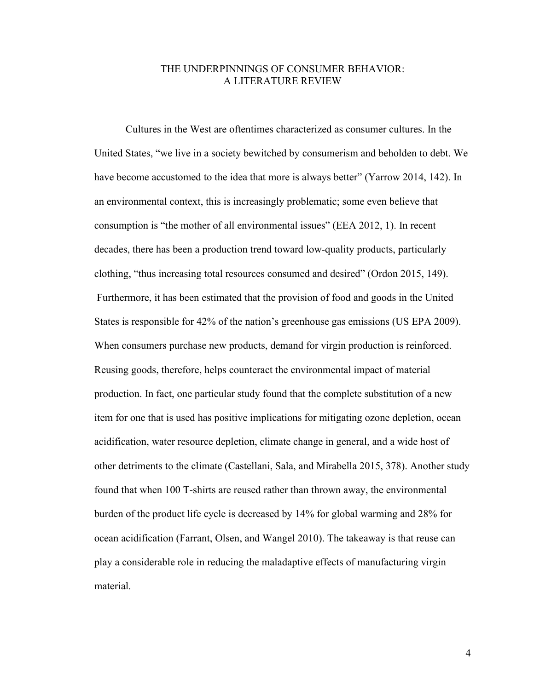## THE UNDERPINNINGS OF CONSUMER BEHAVIOR: A LITERATURE REVIEW

Cultures in the West are oftentimes characterized as consumer cultures. In the United States, "we live in a society bewitched by consumerism and beholden to debt. We have become accustomed to the idea that more is always better" (Yarrow 2014, 142). In an environmental context, this is increasingly problematic; some even believe that consumption is "the mother of all environmental issues" (EEA 2012, 1). In recent decades, there has been a production trend toward low-quality products, particularly clothing, "thus increasing total resources consumed and desired" (Ordon 2015, 149). Furthermore, it has been estimated that the provision of food and goods in the United States is responsible for 42% of the nation's greenhouse gas emissions (US EPA 2009). When consumers purchase new products, demand for virgin production is reinforced. Reusing goods, therefore, helps counteract the environmental impact of material production. In fact, one particular study found that the complete substitution of a new item for one that is used has positive implications for mitigating ozone depletion, ocean acidification, water resource depletion, climate change in general, and a wide host of other detriments to the climate (Castellani, Sala, and Mirabella 2015, 378). Another study found that when 100 T-shirts are reused rather than thrown away, the environmental burden of the product life cycle is decreased by 14% for global warming and 28% for ocean acidification (Farrant, Olsen, and Wangel 2010). The takeaway is that reuse can play a considerable role in reducing the maladaptive effects of manufacturing virgin material.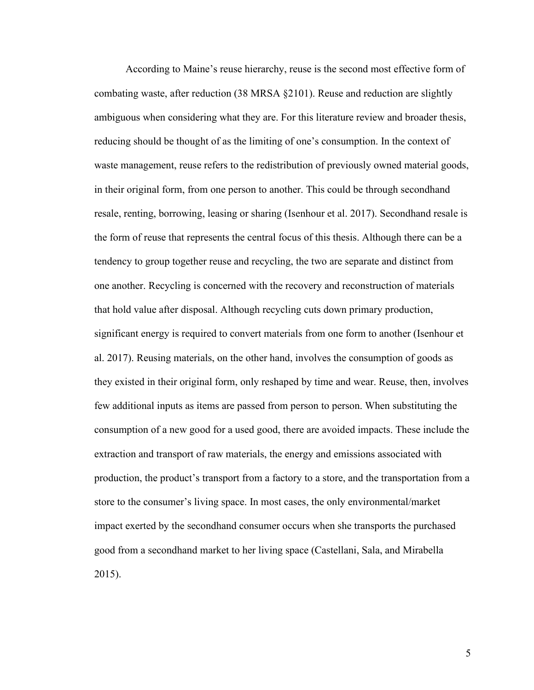According to Maine's reuse hierarchy, reuse is the second most effective form of combating waste, after reduction (38 MRSA §2101). Reuse and reduction are slightly ambiguous when considering what they are. For this literature review and broader thesis, reducing should be thought of as the limiting of one's consumption. In the context of waste management, reuse refers to the redistribution of previously owned material goods, in their original form, from one person to another. This could be through secondhand resale, renting, borrowing, leasing or sharing (Isenhour et al. 2017). Secondhand resale is the form of reuse that represents the central focus of this thesis. Although there can be a tendency to group together reuse and recycling, the two are separate and distinct from one another. Recycling is concerned with the recovery and reconstruction of materials that hold value after disposal. Although recycling cuts down primary production, significant energy is required to convert materials from one form to another (Isenhour et al. 2017). Reusing materials, on the other hand, involves the consumption of goods as they existed in their original form, only reshaped by time and wear. Reuse, then, involves few additional inputs as items are passed from person to person. When substituting the consumption of a new good for a used good, there are avoided impacts. These include the extraction and transport of raw materials, the energy and emissions associated with production, the product's transport from a factory to a store, and the transportation from a store to the consumer's living space. In most cases, the only environmental/market impact exerted by the secondhand consumer occurs when she transports the purchased good from a secondhand market to her living space (Castellani, Sala, and Mirabella 2015).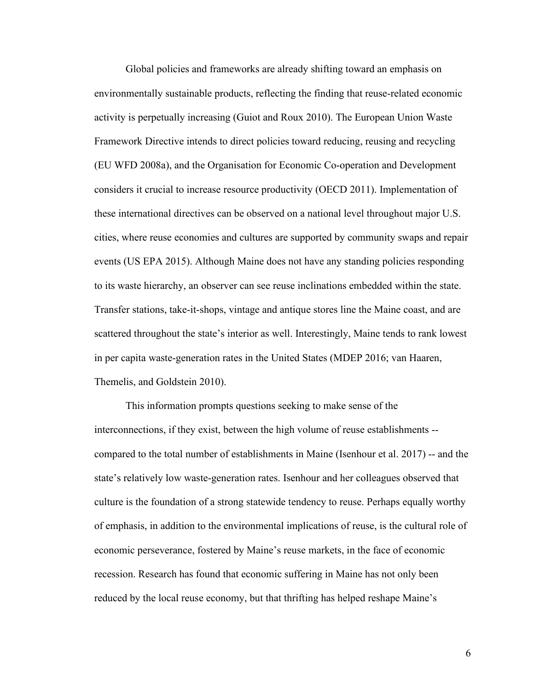Global policies and frameworks are already shifting toward an emphasis on environmentally sustainable products, reflecting the finding that reuse-related economic activity is perpetually increasing (Guiot and Roux 2010). The European Union Waste Framework Directive intends to direct policies toward reducing, reusing and recycling (EU WFD 2008a), and the Organisation for Economic Co-operation and Development considers it crucial to increase resource productivity (OECD 2011). Implementation of these international directives can be observed on a national level throughout major U.S. cities, where reuse economies and cultures are supported by community swaps and repair events (US EPA 2015). Although Maine does not have any standing policies responding to its waste hierarchy, an observer can see reuse inclinations embedded within the state. Transfer stations, take-it-shops, vintage and antique stores line the Maine coast, and are scattered throughout the state's interior as well. Interestingly, Maine tends to rank lowest in per capita waste-generation rates in the United States (MDEP 2016; van Haaren, Themelis, and Goldstein 2010).

This information prompts questions seeking to make sense of the interconnections, if they exist, between the high volume of reuse establishments - compared to the total number of establishments in Maine (Isenhour et al. 2017) -- and the state's relatively low waste-generation rates. Isenhour and her colleagues observed that culture is the foundation of a strong statewide tendency to reuse. Perhaps equally worthy of emphasis, in addition to the environmental implications of reuse, is the cultural role of economic perseverance, fostered by Maine's reuse markets, in the face of economic recession. Research has found that economic suffering in Maine has not only been reduced by the local reuse economy, but that thrifting has helped reshape Maine's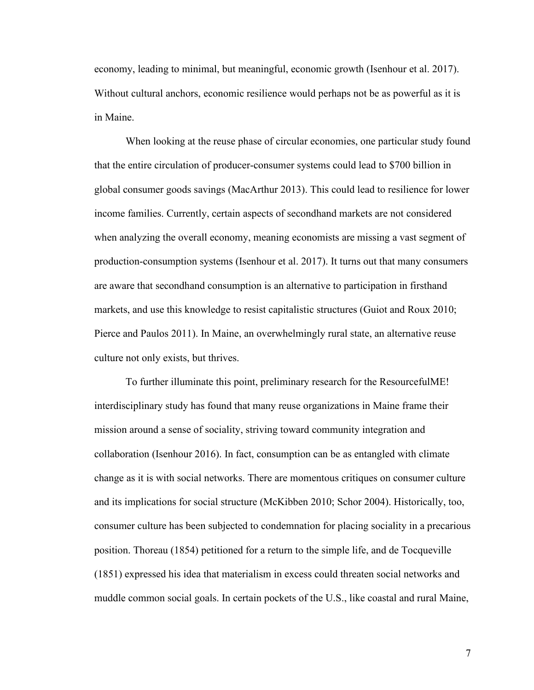economy, leading to minimal, but meaningful, economic growth (Isenhour et al. 2017). Without cultural anchors, economic resilience would perhaps not be as powerful as it is in Maine.

When looking at the reuse phase of circular economies, one particular study found that the entire circulation of producer-consumer systems could lead to \$700 billion in global consumer goods savings (MacArthur 2013). This could lead to resilience for lower income families. Currently, certain aspects of secondhand markets are not considered when analyzing the overall economy, meaning economists are missing a vast segment of production-consumption systems (Isenhour et al. 2017). It turns out that many consumers are aware that secondhand consumption is an alternative to participation in firsthand markets, and use this knowledge to resist capitalistic structures (Guiot and Roux 2010; Pierce and Paulos 2011). In Maine, an overwhelmingly rural state, an alternative reuse culture not only exists, but thrives.

To further illuminate this point, preliminary research for the ResourcefulME! interdisciplinary study has found that many reuse organizations in Maine frame their mission around a sense of sociality, striving toward community integration and collaboration (Isenhour 2016). In fact, consumption can be as entangled with climate change as it is with social networks. There are momentous critiques on consumer culture and its implications for social structure (McKibben 2010; Schor 2004). Historically, too, consumer culture has been subjected to condemnation for placing sociality in a precarious position. Thoreau (1854) petitioned for a return to the simple life, and de Tocqueville (1851) expressed his idea that materialism in excess could threaten social networks and muddle common social goals. In certain pockets of the U.S., like coastal and rural Maine,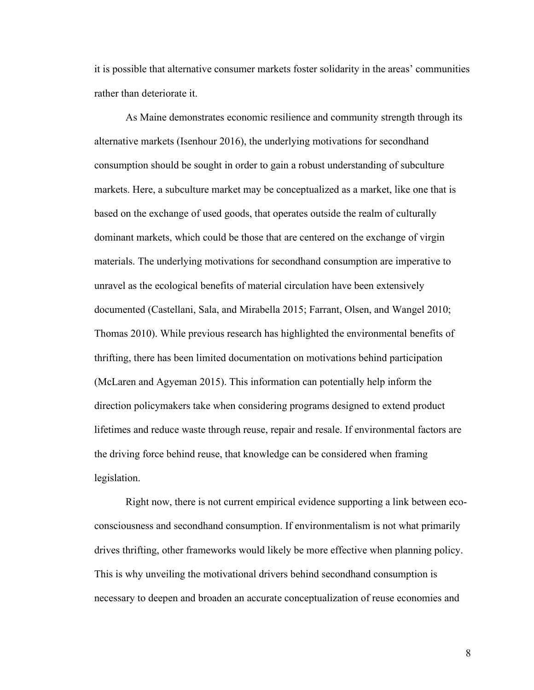it is possible that alternative consumer markets foster solidarity in the areas' communities rather than deteriorate it.

As Maine demonstrates economic resilience and community strength through its alternative markets (Isenhour 2016), the underlying motivations for secondhand consumption should be sought in order to gain a robust understanding of subculture markets. Here, a subculture market may be conceptualized as a market, like one that is based on the exchange of used goods, that operates outside the realm of culturally dominant markets, which could be those that are centered on the exchange of virgin materials. The underlying motivations for secondhand consumption are imperative to unravel as the ecological benefits of material circulation have been extensively documented (Castellani, Sala, and Mirabella 2015; Farrant, Olsen, and Wangel 2010; Thomas 2010). While previous research has highlighted the environmental benefits of thrifting, there has been limited documentation on motivations behind participation (McLaren and Agyeman 2015). This information can potentially help inform the direction policymakers take when considering programs designed to extend product lifetimes and reduce waste through reuse, repair and resale. If environmental factors are the driving force behind reuse, that knowledge can be considered when framing legislation.

Right now, there is not current empirical evidence supporting a link between ecoconsciousness and secondhand consumption. If environmentalism is not what primarily drives thrifting, other frameworks would likely be more effective when planning policy. This is why unveiling the motivational drivers behind secondhand consumption is necessary to deepen and broaden an accurate conceptualization of reuse economies and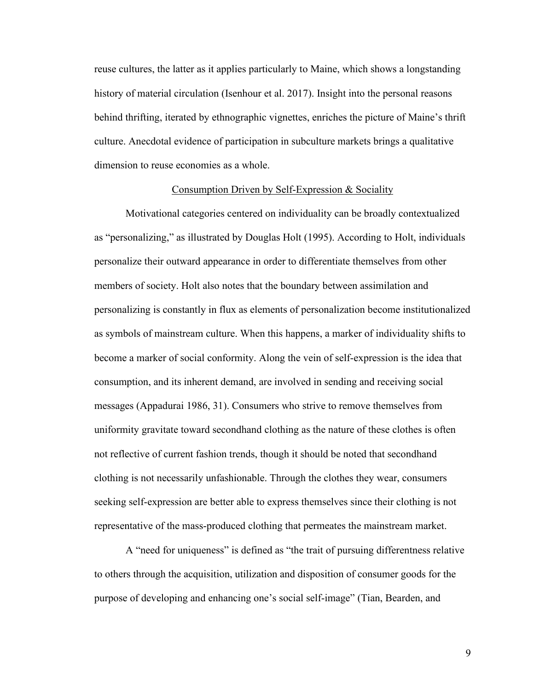reuse cultures, the latter as it applies particularly to Maine, which shows a longstanding history of material circulation (Isenhour et al. 2017). Insight into the personal reasons behind thrifting, iterated by ethnographic vignettes, enriches the picture of Maine's thrift culture. Anecdotal evidence of participation in subculture markets brings a qualitative dimension to reuse economies as a whole.

### Consumption Driven by Self-Expression & Sociality

Motivational categories centered on individuality can be broadly contextualized as "personalizing," as illustrated by Douglas Holt (1995). According to Holt, individuals personalize their outward appearance in order to differentiate themselves from other members of society. Holt also notes that the boundary between assimilation and personalizing is constantly in flux as elements of personalization become institutionalized as symbols of mainstream culture. When this happens, a marker of individuality shifts to become a marker of social conformity. Along the vein of self-expression is the idea that consumption, and its inherent demand, are involved in sending and receiving social messages (Appadurai 1986, 31). Consumers who strive to remove themselves from uniformity gravitate toward secondhand clothing as the nature of these clothes is often not reflective of current fashion trends, though it should be noted that secondhand clothing is not necessarily unfashionable. Through the clothes they wear, consumers seeking self-expression are better able to express themselves since their clothing is not representative of the mass-produced clothing that permeates the mainstream market.

A "need for uniqueness" is defined as "the trait of pursuing differentness relative to others through the acquisition, utilization and disposition of consumer goods for the purpose of developing and enhancing one's social self-image" (Tian, Bearden, and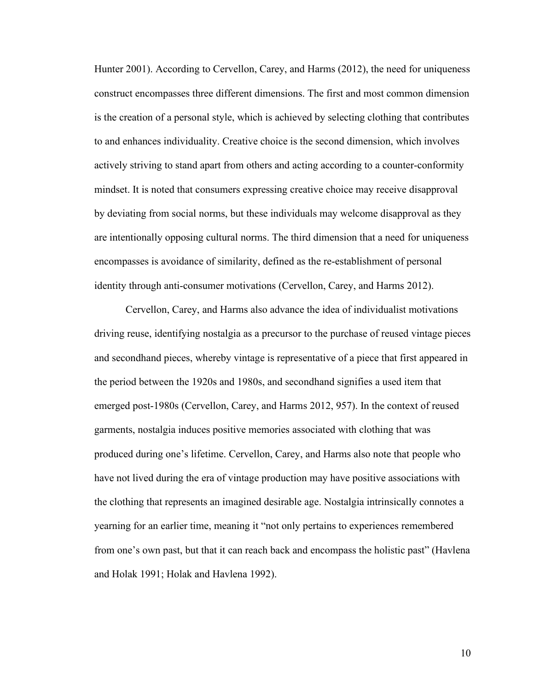Hunter 2001). According to Cervellon, Carey, and Harms (2012), the need for uniqueness construct encompasses three different dimensions. The first and most common dimension is the creation of a personal style, which is achieved by selecting clothing that contributes to and enhances individuality. Creative choice is the second dimension, which involves actively striving to stand apart from others and acting according to a counter-conformity mindset. It is noted that consumers expressing creative choice may receive disapproval by deviating from social norms, but these individuals may welcome disapproval as they are intentionally opposing cultural norms. The third dimension that a need for uniqueness encompasses is avoidance of similarity, defined as the re-establishment of personal identity through anti-consumer motivations (Cervellon, Carey, and Harms 2012).

Cervellon, Carey, and Harms also advance the idea of individualist motivations driving reuse, identifying nostalgia as a precursor to the purchase of reused vintage pieces and secondhand pieces, whereby vintage is representative of a piece that first appeared in the period between the 1920s and 1980s, and secondhand signifies a used item that emerged post-1980s (Cervellon, Carey, and Harms 2012, 957). In the context of reused garments, nostalgia induces positive memories associated with clothing that was produced during one's lifetime. Cervellon, Carey, and Harms also note that people who have not lived during the era of vintage production may have positive associations with the clothing that represents an imagined desirable age. Nostalgia intrinsically connotes a yearning for an earlier time, meaning it "not only pertains to experiences remembered from one's own past, but that it can reach back and encompass the holistic past" (Havlena and Holak 1991; Holak and Havlena 1992).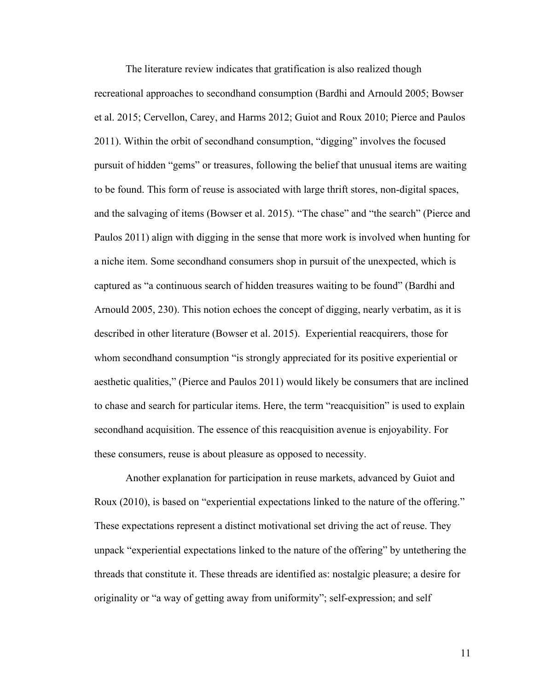The literature review indicates that gratification is also realized though recreational approaches to secondhand consumption (Bardhi and Arnould 2005; Bowser et al. 2015; Cervellon, Carey, and Harms 2012; Guiot and Roux 2010; Pierce and Paulos 2011). Within the orbit of secondhand consumption, "digging" involves the focused pursuit of hidden "gems" or treasures, following the belief that unusual items are waiting to be found. This form of reuse is associated with large thrift stores, non-digital spaces, and the salvaging of items (Bowser et al. 2015). "The chase" and "the search" (Pierce and Paulos 2011) align with digging in the sense that more work is involved when hunting for a niche item. Some secondhand consumers shop in pursuit of the unexpected, which is captured as "a continuous search of hidden treasures waiting to be found" (Bardhi and Arnould 2005, 230). This notion echoes the concept of digging, nearly verbatim, as it is described in other literature (Bowser et al. 2015). Experiential reacquirers, those for whom secondhand consumption "is strongly appreciated for its positive experiential or aesthetic qualities," (Pierce and Paulos 2011) would likely be consumers that are inclined to chase and search for particular items. Here, the term "reacquisition" is used to explain secondhand acquisition. The essence of this reacquisition avenue is enjoyability. For these consumers, reuse is about pleasure as opposed to necessity.

Another explanation for participation in reuse markets, advanced by Guiot and Roux (2010), is based on "experiential expectations linked to the nature of the offering." These expectations represent a distinct motivational set driving the act of reuse. They unpack "experiential expectations linked to the nature of the offering" by untethering the threads that constitute it. These threads are identified as: nostalgic pleasure; a desire for originality or "a way of getting away from uniformity"; self-expression; and self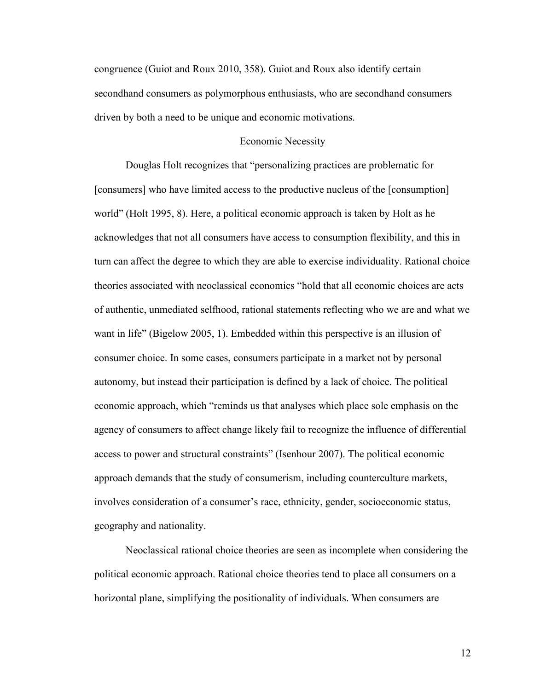congruence (Guiot and Roux 2010, 358). Guiot and Roux also identify certain secondhand consumers as polymorphous enthusiasts, who are secondhand consumers driven by both a need to be unique and economic motivations.

#### Economic Necessity

Douglas Holt recognizes that "personalizing practices are problematic for [consumers] who have limited access to the productive nucleus of the [consumption] world" (Holt 1995, 8). Here, a political economic approach is taken by Holt as he acknowledges that not all consumers have access to consumption flexibility, and this in turn can affect the degree to which they are able to exercise individuality. Rational choice theories associated with neoclassical economics "hold that all economic choices are acts of authentic, unmediated selfhood, rational statements reflecting who we are and what we want in life" (Bigelow 2005, 1). Embedded within this perspective is an illusion of consumer choice. In some cases, consumers participate in a market not by personal autonomy, but instead their participation is defined by a lack of choice. The political economic approach, which "reminds us that analyses which place sole emphasis on the agency of consumers to affect change likely fail to recognize the influence of differential access to power and structural constraints" (Isenhour 2007). The political economic approach demands that the study of consumerism, including counterculture markets, involves consideration of a consumer's race, ethnicity, gender, socioeconomic status, geography and nationality.

Neoclassical rational choice theories are seen as incomplete when considering the political economic approach. Rational choice theories tend to place all consumers on a horizontal plane, simplifying the positionality of individuals. When consumers are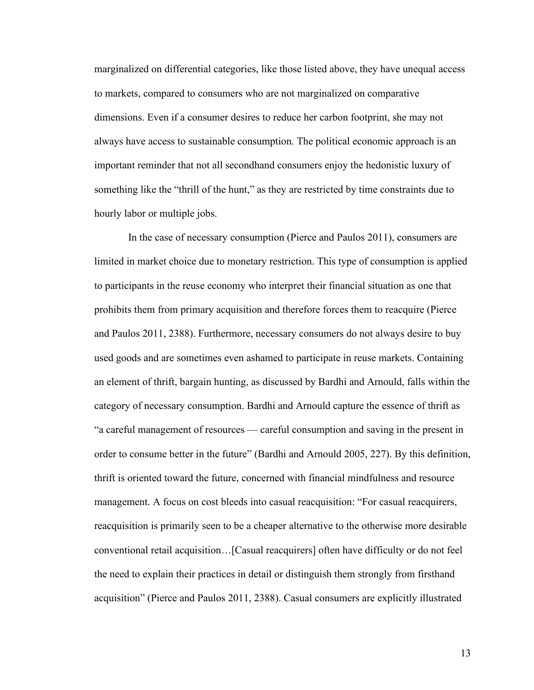marginalized on differential categories, like those listed above, they have unequal access to markets, compared to consumers who are not marginalized on comparative dimensions. Even if a consumer desires to reduce her carbon footprint, she may not always have access to sustainable consumption. The political economic approach is an important reminder that not all secondhand consumers enjoy the hedonistic luxury of something like the "thrill of the hunt," as they are restricted by time constraints due to hourly labor or multiple jobs.

In the case of necessary consumption (Pierce and Paulos 2011), consumers are limited in market choice due to monetary restriction. This type of consumption is applied to participants in the reuse economy who interpret their financial situation as one that prohibits them from primary acquisition and therefore forces them to reacquire (Pierce and Paulos 2011, 2388). Furthermore, necessary consumers do not always desire to buy used goods and are sometimes even ashamed to participate in reuse markets. Containing an element of thrift, bargain hunting, as discussed by Bardhi and Arnould, falls within the category of necessary consumption. Bardhi and Arnould capture the essence of thrift as "a careful management of resources — careful consumption and saving in the present in order to consume better in the future" (Bardhi and Arnould 2005, 227). By this definition, thrift is oriented toward the future, concerned with financial mindfulness and resource management. A focus on cost bleeds into casual reacquisition: "For casual reacquirers, reacquisition is primarily seen to be a cheaper alternative to the otherwise more desirable conventional retail acquisition…[Casual reacquirers] often have difficulty or do not feel the need to explain their practices in detail or distinguish them strongly from firsthand acquisition" (Pierce and Paulos 2011, 2388). Casual consumers are explicitly illustrated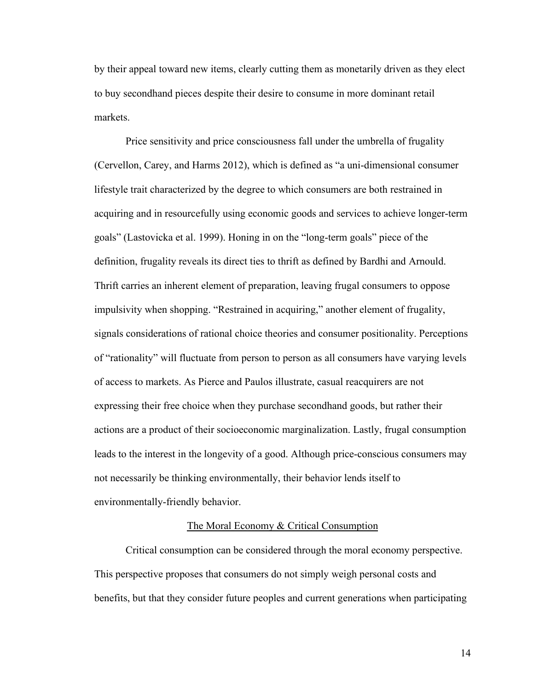by their appeal toward new items, clearly cutting them as monetarily driven as they elect to buy secondhand pieces despite their desire to consume in more dominant retail markets.

Price sensitivity and price consciousness fall under the umbrella of frugality (Cervellon, Carey, and Harms 2012), which is defined as "a uni-dimensional consumer lifestyle trait characterized by the degree to which consumers are both restrained in acquiring and in resourcefully using economic goods and services to achieve longer-term goals" (Lastovicka et al. 1999). Honing in on the "long-term goals" piece of the definition, frugality reveals its direct ties to thrift as defined by Bardhi and Arnould. Thrift carries an inherent element of preparation, leaving frugal consumers to oppose impulsivity when shopping. "Restrained in acquiring," another element of frugality, signals considerations of rational choice theories and consumer positionality. Perceptions of "rationality" will fluctuate from person to person as all consumers have varying levels of access to markets. As Pierce and Paulos illustrate, casual reacquirers are not expressing their free choice when they purchase secondhand goods, but rather their actions are a product of their socioeconomic marginalization. Lastly, frugal consumption leads to the interest in the longevity of a good. Although price-conscious consumers may not necessarily be thinking environmentally, their behavior lends itself to environmentally-friendly behavior.

#### The Moral Economy & Critical Consumption

Critical consumption can be considered through the moral economy perspective. This perspective proposes that consumers do not simply weigh personal costs and benefits, but that they consider future peoples and current generations when participating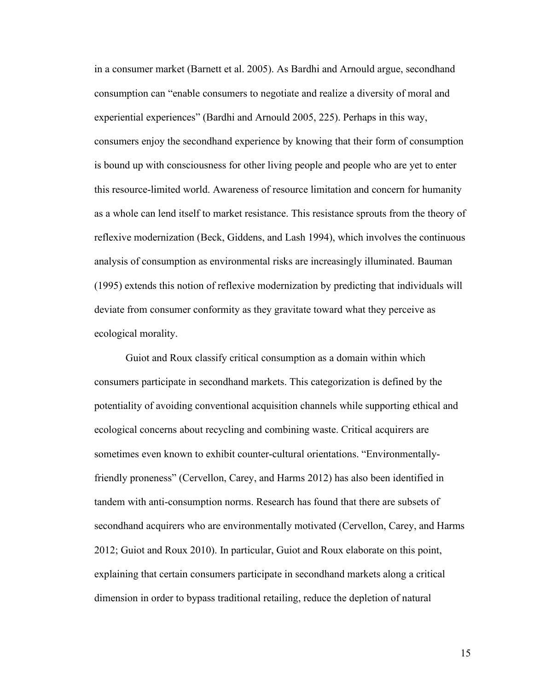in a consumer market (Barnett et al. 2005). As Bardhi and Arnould argue, secondhand consumption can "enable consumers to negotiate and realize a diversity of moral and experiential experiences" (Bardhi and Arnould 2005, 225). Perhaps in this way, consumers enjoy the secondhand experience by knowing that their form of consumption is bound up with consciousness for other living people and people who are yet to enter this resource-limited world. Awareness of resource limitation and concern for humanity as a whole can lend itself to market resistance. This resistance sprouts from the theory of reflexive modernization (Beck, Giddens, and Lash 1994), which involves the continuous analysis of consumption as environmental risks are increasingly illuminated. Bauman (1995) extends this notion of reflexive modernization by predicting that individuals will deviate from consumer conformity as they gravitate toward what they perceive as ecological morality.

Guiot and Roux classify critical consumption as a domain within which consumers participate in secondhand markets. This categorization is defined by the potentiality of avoiding conventional acquisition channels while supporting ethical and ecological concerns about recycling and combining waste. Critical acquirers are sometimes even known to exhibit counter-cultural orientations. "Environmentallyfriendly proneness" (Cervellon, Carey, and Harms 2012) has also been identified in tandem with anti-consumption norms. Research has found that there are subsets of secondhand acquirers who are environmentally motivated (Cervellon, Carey, and Harms 2012; Guiot and Roux 2010). In particular, Guiot and Roux elaborate on this point, explaining that certain consumers participate in secondhand markets along a critical dimension in order to bypass traditional retailing, reduce the depletion of natural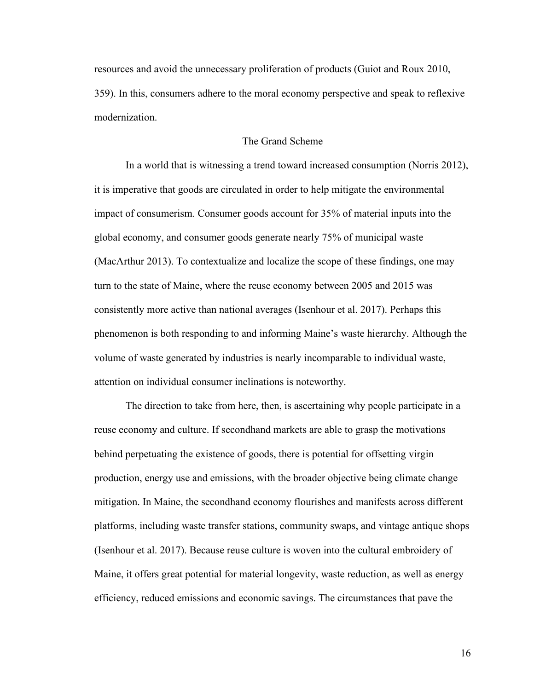resources and avoid the unnecessary proliferation of products (Guiot and Roux 2010, 359). In this, consumers adhere to the moral economy perspective and speak to reflexive modernization.

## The Grand Scheme

In a world that is witnessing a trend toward increased consumption (Norris 2012), it is imperative that goods are circulated in order to help mitigate the environmental impact of consumerism. Consumer goods account for 35% of material inputs into the global economy, and consumer goods generate nearly 75% of municipal waste (MacArthur 2013). To contextualize and localize the scope of these findings, one may turn to the state of Maine, where the reuse economy between 2005 and 2015 was consistently more active than national averages (Isenhour et al. 2017). Perhaps this phenomenon is both responding to and informing Maine's waste hierarchy. Although the volume of waste generated by industries is nearly incomparable to individual waste, attention on individual consumer inclinations is noteworthy.

The direction to take from here, then, is ascertaining why people participate in a reuse economy and culture. If secondhand markets are able to grasp the motivations behind perpetuating the existence of goods, there is potential for offsetting virgin production, energy use and emissions, with the broader objective being climate change mitigation. In Maine, the secondhand economy flourishes and manifests across different platforms, including waste transfer stations, community swaps, and vintage antique shops (Isenhour et al. 2017). Because reuse culture is woven into the cultural embroidery of Maine, it offers great potential for material longevity, waste reduction, as well as energy efficiency, reduced emissions and economic savings. The circumstances that pave the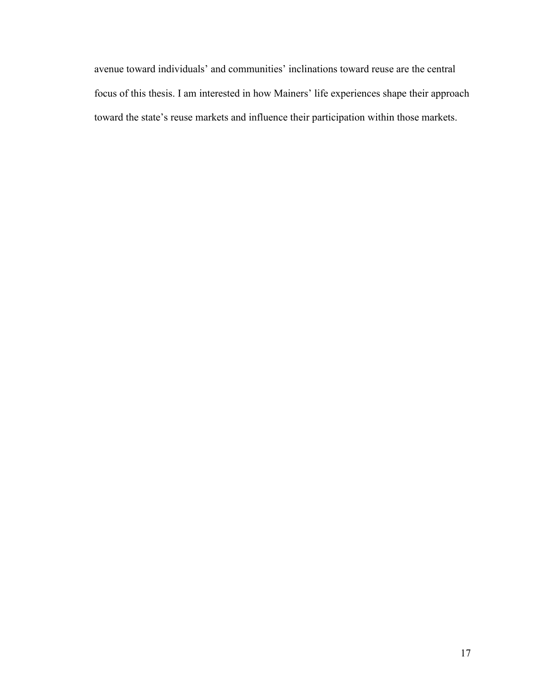avenue toward individuals' and communities' inclinations toward reuse are the central focus of this thesis. I am interested in how Mainers' life experiences shape their approach toward the state's reuse markets and influence their participation within those markets.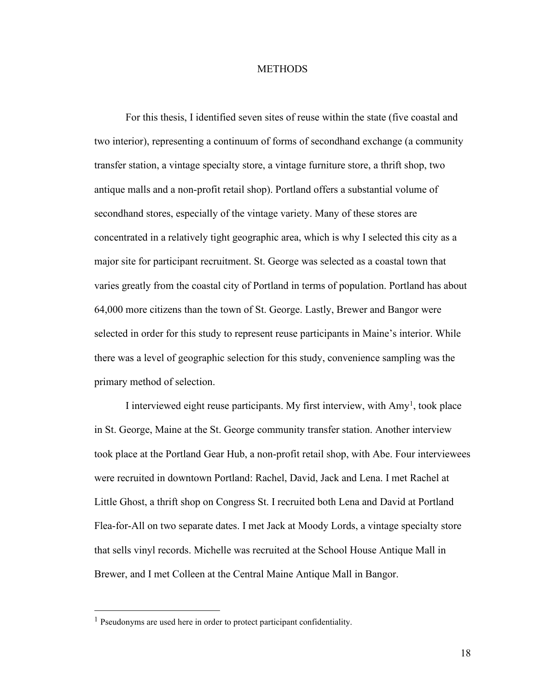#### **METHODS**

For this thesis, I identified seven sites of reuse within the state (five coastal and two interior), representing a continuum of forms of secondhand exchange (a community transfer station, a vintage specialty store, a vintage furniture store, a thrift shop, two antique malls and a non-profit retail shop). Portland offers a substantial volume of secondhand stores, especially of the vintage variety. Many of these stores are concentrated in a relatively tight geographic area, which is why I selected this city as a major site for participant recruitment. St. George was selected as a coastal town that varies greatly from the coastal city of Portland in terms of population. Portland has about 64,000 more citizens than the town of St. George. Lastly, Brewer and Bangor were selected in order for this study to represent reuse participants in Maine's interior. While there was a level of geographic selection for this study, convenience sampling was the primary method of selection.

I interviewed eight reuse participants. My first interview, with  $Amy<sup>1</sup>$ , took place in St. George, Maine at the St. George community transfer station. Another interview took place at the Portland Gear Hub, a non-profit retail shop, with Abe. Four interviewees were recruited in downtown Portland: Rachel, David, Jack and Lena. I met Rachel at Little Ghost, a thrift shop on Congress St. I recruited both Lena and David at Portland Flea-for-All on two separate dates. I met Jack at Moody Lords, a vintage specialty store that sells vinyl records. Michelle was recruited at the School House Antique Mall in Brewer, and I met Colleen at the Central Maine Antique Mall in Bangor.

<sup>&</sup>lt;sup>1</sup> Pseudonyms are used here in order to protect participant confidentiality.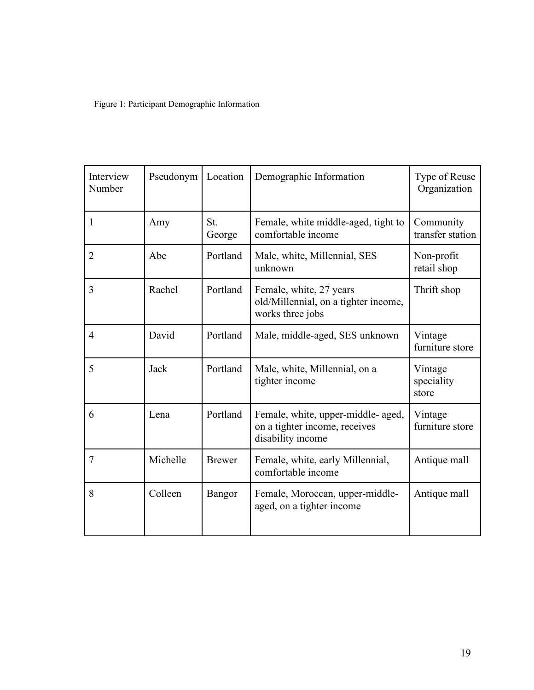Figure 1: Participant Demographic Information

| Interview<br>Number | Pseudonym | Location      | Demographic Information                                                                  | Type of Reuse<br>Organization  |
|---------------------|-----------|---------------|------------------------------------------------------------------------------------------|--------------------------------|
| 1                   | Amy       | St.<br>George | Female, white middle-aged, tight to<br>comfortable income                                | Community<br>transfer station  |
| $\overline{2}$      | Abe       | Portland      | Male, white, Millennial, SES<br>unknown                                                  | Non-profit<br>retail shop      |
| 3                   | Rachel    | Portland      | Female, white, 27 years<br>old/Millennial, on a tighter income,<br>works three jobs      | Thrift shop                    |
| $\overline{4}$      | David     | Portland      | Male, middle-aged, SES unknown                                                           | Vintage<br>furniture store     |
| 5                   | Jack      | Portland      | Male, white, Millennial, on a<br>tighter income                                          | Vintage<br>speciality<br>store |
| 6                   | Lena      | Portland      | Female, white, upper-middle- aged,<br>on a tighter income, receives<br>disability income | Vintage<br>furniture store     |
| $\overline{7}$      | Michelle  | <b>Brewer</b> | Female, white, early Millennial,<br>comfortable income                                   | Antique mall                   |
| 8                   | Colleen   | Bangor        | Female, Moroccan, upper-middle-<br>aged, on a tighter income                             | Antique mall                   |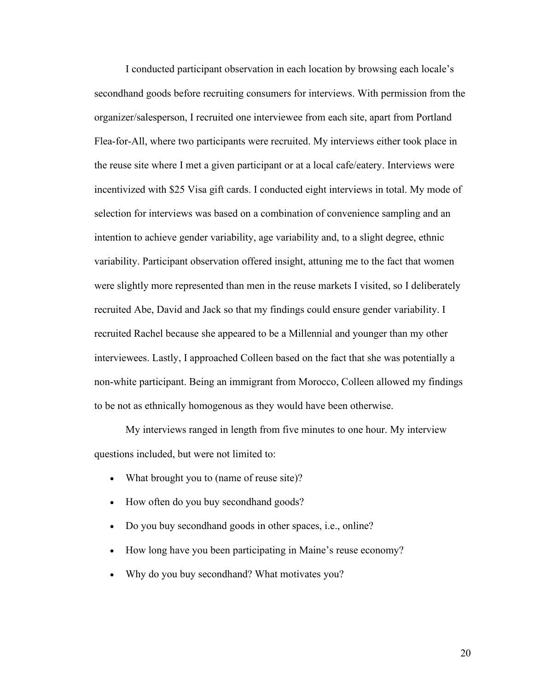I conducted participant observation in each location by browsing each locale's secondhand goods before recruiting consumers for interviews. With permission from the organizer/salesperson, I recruited one interviewee from each site, apart from Portland Flea-for-All, where two participants were recruited. My interviews either took place in the reuse site where I met a given participant or at a local cafe/eatery. Interviews were incentivized with \$25 Visa gift cards. I conducted eight interviews in total. My mode of selection for interviews was based on a combination of convenience sampling and an intention to achieve gender variability, age variability and, to a slight degree, ethnic variability. Participant observation offered insight, attuning me to the fact that women were slightly more represented than men in the reuse markets I visited, so I deliberately recruited Abe, David and Jack so that my findings could ensure gender variability. I recruited Rachel because she appeared to be a Millennial and younger than my other interviewees. Lastly, I approached Colleen based on the fact that she was potentially a non-white participant. Being an immigrant from Morocco, Colleen allowed my findings to be not as ethnically homogenous as they would have been otherwise.

My interviews ranged in length from five minutes to one hour. My interview questions included, but were not limited to:

- What brought you to (name of reuse site)?
- How often do you buy secondhand goods?
- Do you buy secondhand goods in other spaces, i.e., online?
- How long have you been participating in Maine's reuse economy?
- Why do you buy secondhand? What motivates you?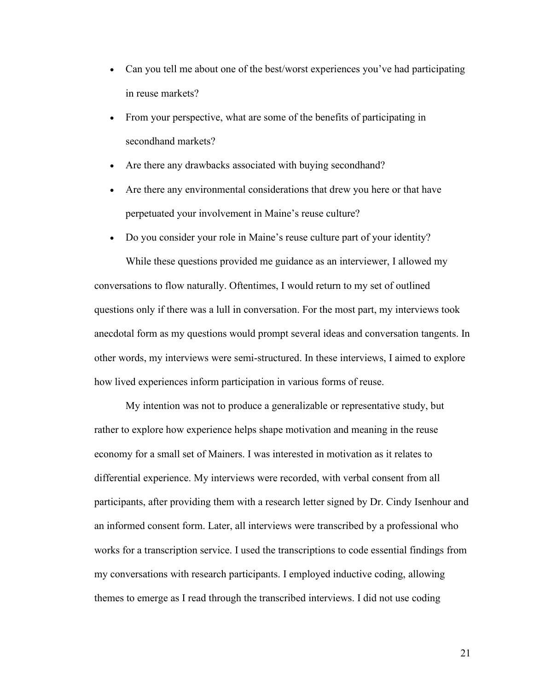- Can you tell me about one of the best/worst experiences you've had participating in reuse markets?
- From your perspective, what are some of the benefits of participating in secondhand markets?
- Are there any drawbacks associated with buying secondhand?
- Are there any environmental considerations that drew you here or that have perpetuated your involvement in Maine's reuse culture?
- Do you consider your role in Maine's reuse culture part of your identity?

While these questions provided me guidance as an interviewer, I allowed my conversations to flow naturally. Oftentimes, I would return to my set of outlined questions only if there was a lull in conversation. For the most part, my interviews took anecdotal form as my questions would prompt several ideas and conversation tangents. In other words, my interviews were semi-structured. In these interviews, I aimed to explore how lived experiences inform participation in various forms of reuse.

My intention was not to produce a generalizable or representative study, but rather to explore how experience helps shape motivation and meaning in the reuse economy for a small set of Mainers. I was interested in motivation as it relates to differential experience. My interviews were recorded, with verbal consent from all participants, after providing them with a research letter signed by Dr. Cindy Isenhour and an informed consent form. Later, all interviews were transcribed by a professional who works for a transcription service. I used the transcriptions to code essential findings from my conversations with research participants. I employed inductive coding, allowing themes to emerge as I read through the transcribed interviews. I did not use coding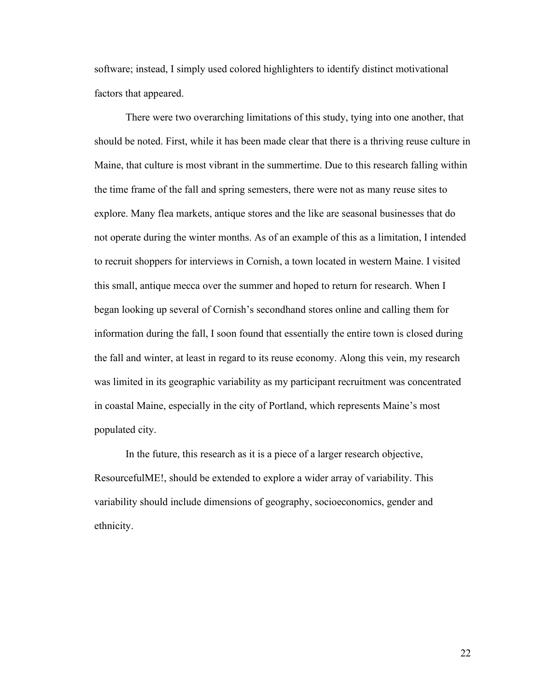software; instead, I simply used colored highlighters to identify distinct motivational factors that appeared.

There were two overarching limitations of this study, tying into one another, that should be noted. First, while it has been made clear that there is a thriving reuse culture in Maine, that culture is most vibrant in the summertime. Due to this research falling within the time frame of the fall and spring semesters, there were not as many reuse sites to explore. Many flea markets, antique stores and the like are seasonal businesses that do not operate during the winter months. As of an example of this as a limitation, I intended to recruit shoppers for interviews in Cornish, a town located in western Maine. I visited this small, antique mecca over the summer and hoped to return for research. When I began looking up several of Cornish's secondhand stores online and calling them for information during the fall, I soon found that essentially the entire town is closed during the fall and winter, at least in regard to its reuse economy. Along this vein, my research was limited in its geographic variability as my participant recruitment was concentrated in coastal Maine, especially in the city of Portland, which represents Maine's most populated city.

In the future, this research as it is a piece of a larger research objective, ResourcefulME!, should be extended to explore a wider array of variability. This variability should include dimensions of geography, socioeconomics, gender and ethnicity.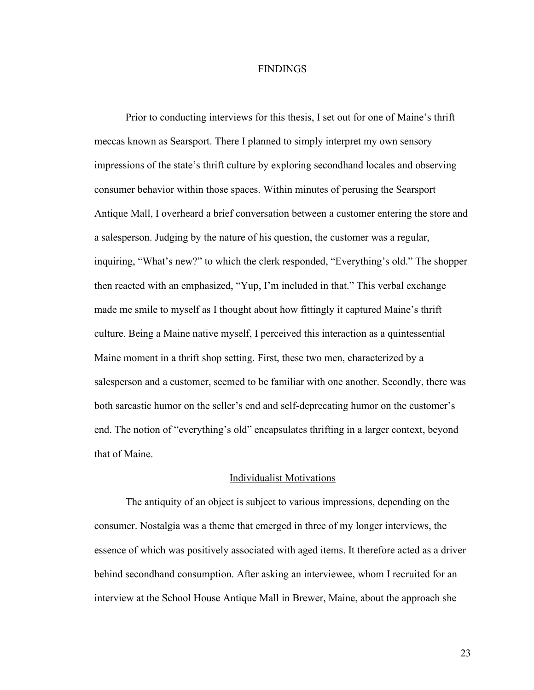#### FINDINGS

Prior to conducting interviews for this thesis, I set out for one of Maine's thrift meccas known as Searsport. There I planned to simply interpret my own sensory impressions of the state's thrift culture by exploring secondhand locales and observing consumer behavior within those spaces. Within minutes of perusing the Searsport Antique Mall, I overheard a brief conversation between a customer entering the store and a salesperson. Judging by the nature of his question, the customer was a regular, inquiring, "What's new?" to which the clerk responded, "Everything's old." The shopper then reacted with an emphasized, "Yup, I'm included in that." This verbal exchange made me smile to myself as I thought about how fittingly it captured Maine's thrift culture. Being a Maine native myself, I perceived this interaction as a quintessential Maine moment in a thrift shop setting. First, these two men, characterized by a salesperson and a customer, seemed to be familiar with one another. Secondly, there was both sarcastic humor on the seller's end and self-deprecating humor on the customer's end. The notion of "everything's old" encapsulates thrifting in a larger context, beyond that of Maine.

#### Individualist Motivations

The antiquity of an object is subject to various impressions, depending on the consumer. Nostalgia was a theme that emerged in three of my longer interviews, the essence of which was positively associated with aged items. It therefore acted as a driver behind secondhand consumption. After asking an interviewee, whom I recruited for an interview at the School House Antique Mall in Brewer, Maine, about the approach she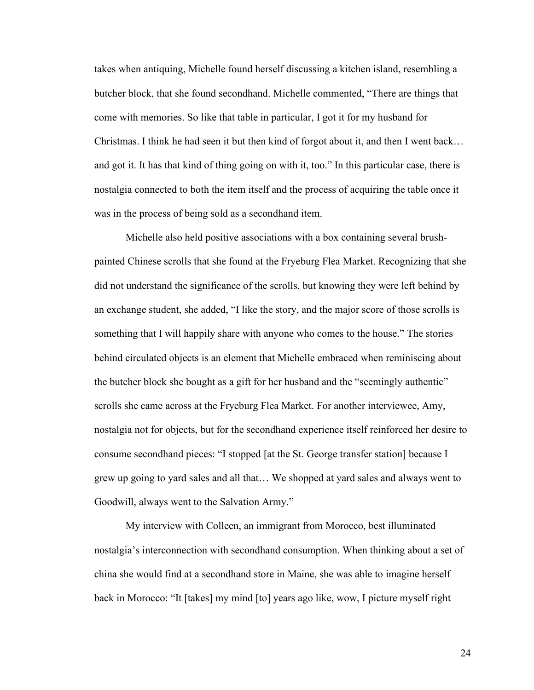takes when antiquing, Michelle found herself discussing a kitchen island, resembling a butcher block, that she found secondhand. Michelle commented, "There are things that come with memories. So like that table in particular, I got it for my husband for Christmas. I think he had seen it but then kind of forgot about it, and then I went back… and got it. It has that kind of thing going on with it, too." In this particular case, there is nostalgia connected to both the item itself and the process of acquiring the table once it was in the process of being sold as a secondhand item.

Michelle also held positive associations with a box containing several brushpainted Chinese scrolls that she found at the Fryeburg Flea Market. Recognizing that she did not understand the significance of the scrolls, but knowing they were left behind by an exchange student, she added, "I like the story, and the major score of those scrolls is something that I will happily share with anyone who comes to the house." The stories behind circulated objects is an element that Michelle embraced when reminiscing about the butcher block she bought as a gift for her husband and the "seemingly authentic" scrolls she came across at the Fryeburg Flea Market. For another interviewee, Amy, nostalgia not for objects, but for the secondhand experience itself reinforced her desire to consume secondhand pieces: "I stopped [at the St. George transfer station] because I grew up going to yard sales and all that… We shopped at yard sales and always went to Goodwill, always went to the Salvation Army."

My interview with Colleen, an immigrant from Morocco, best illuminated nostalgia's interconnection with secondhand consumption. When thinking about a set of china she would find at a secondhand store in Maine, she was able to imagine herself back in Morocco: "It [takes] my mind [to] years ago like, wow, I picture myself right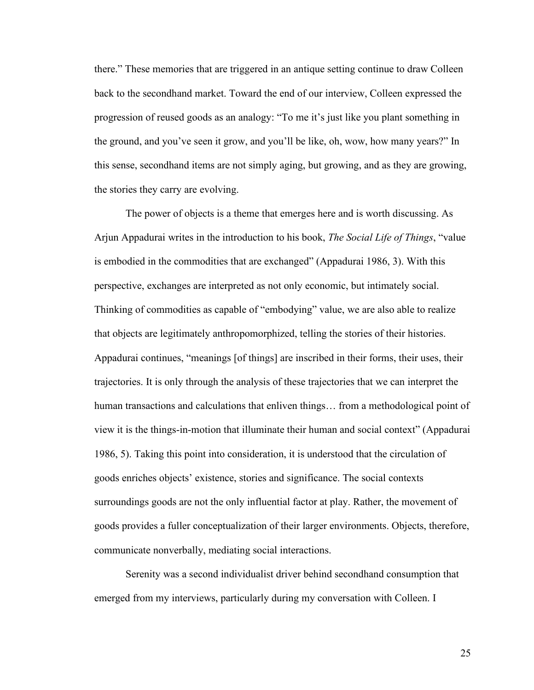there." These memories that are triggered in an antique setting continue to draw Colleen back to the secondhand market. Toward the end of our interview, Colleen expressed the progression of reused goods as an analogy: "To me it's just like you plant something in the ground, and you've seen it grow, and you'll be like, oh, wow, how many years?" In this sense, secondhand items are not simply aging, but growing, and as they are growing, the stories they carry are evolving.

The power of objects is a theme that emerges here and is worth discussing. As Arjun Appadurai writes in the introduction to his book, *The Social Life of Things*, "value is embodied in the commodities that are exchanged" (Appadurai 1986, 3). With this perspective, exchanges are interpreted as not only economic, but intimately social. Thinking of commodities as capable of "embodying" value, we are also able to realize that objects are legitimately anthropomorphized, telling the stories of their histories. Appadurai continues, "meanings [of things] are inscribed in their forms, their uses, their trajectories. It is only through the analysis of these trajectories that we can interpret the human transactions and calculations that enliven things... from a methodological point of view it is the things-in-motion that illuminate their human and social context" (Appadurai 1986, 5). Taking this point into consideration, it is understood that the circulation of goods enriches objects' existence, stories and significance. The social contexts surroundings goods are not the only influential factor at play. Rather, the movement of goods provides a fuller conceptualization of their larger environments. Objects, therefore, communicate nonverbally, mediating social interactions.

Serenity was a second individualist driver behind secondhand consumption that emerged from my interviews, particularly during my conversation with Colleen. I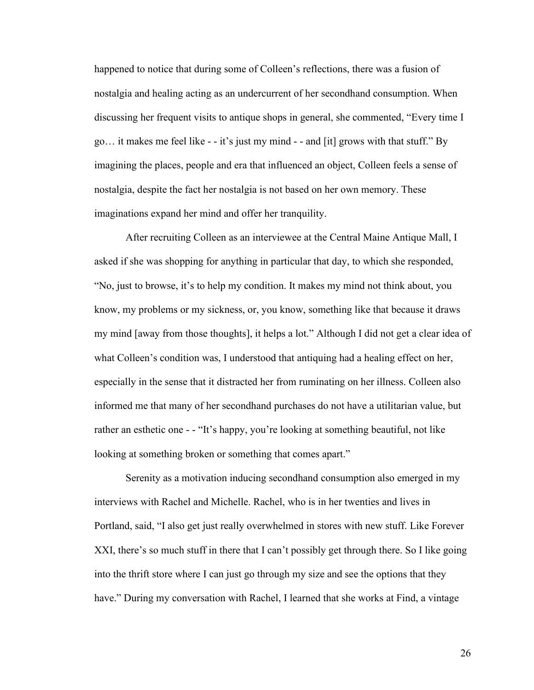happened to notice that during some of Colleen's reflections, there was a fusion of nostalgia and healing acting as an undercurrent of her secondhand consumption. When discussing her frequent visits to antique shops in general, she commented, "Every time I go… it makes me feel like - - it's just my mind - - and [it] grows with that stuff." By imagining the places, people and era that influenced an object, Colleen feels a sense of nostalgia, despite the fact her nostalgia is not based on her own memory. These imaginations expand her mind and offer her tranquility.

After recruiting Colleen as an interviewee at the Central Maine Antique Mall, I asked if she was shopping for anything in particular that day, to which she responded, "No, just to browse, it's to help my condition. It makes my mind not think about, you know, my problems or my sickness, or, you know, something like that because it draws my mind [away from those thoughts], it helps a lot." Although I did not get a clear idea of what Colleen's condition was, I understood that antiquing had a healing effect on her, especially in the sense that it distracted her from ruminating on her illness. Colleen also informed me that many of her secondhand purchases do not have a utilitarian value, but rather an esthetic one - - "It's happy, you're looking at something beautiful, not like looking at something broken or something that comes apart."

Serenity as a motivation inducing secondhand consumption also emerged in my interviews with Rachel and Michelle. Rachel, who is in her twenties and lives in Portland, said, "I also get just really overwhelmed in stores with new stuff. Like Forever XXI, there's so much stuff in there that I can't possibly get through there. So I like going into the thrift store where I can just go through my size and see the options that they have." During my conversation with Rachel, I learned that she works at Find, a vintage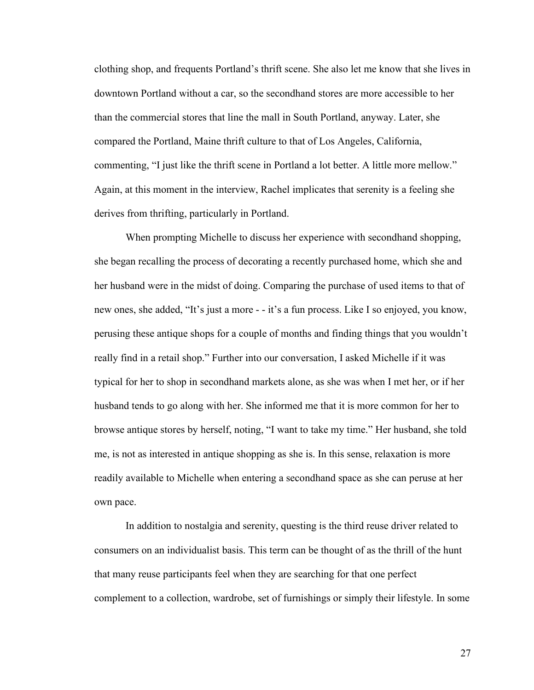clothing shop, and frequents Portland's thrift scene. She also let me know that she lives in downtown Portland without a car, so the secondhand stores are more accessible to her than the commercial stores that line the mall in South Portland, anyway. Later, she compared the Portland, Maine thrift culture to that of Los Angeles, California, commenting, "I just like the thrift scene in Portland a lot better. A little more mellow." Again, at this moment in the interview, Rachel implicates that serenity is a feeling she derives from thrifting, particularly in Portland.

When prompting Michelle to discuss her experience with secondhand shopping, she began recalling the process of decorating a recently purchased home, which she and her husband were in the midst of doing. Comparing the purchase of used items to that of new ones, she added, "It's just a more - - it's a fun process. Like I so enjoyed, you know, perusing these antique shops for a couple of months and finding things that you wouldn't really find in a retail shop." Further into our conversation, I asked Michelle if it was typical for her to shop in secondhand markets alone, as she was when I met her, or if her husband tends to go along with her. She informed me that it is more common for her to browse antique stores by herself, noting, "I want to take my time." Her husband, she told me, is not as interested in antique shopping as she is. In this sense, relaxation is more readily available to Michelle when entering a secondhand space as she can peruse at her own pace.

In addition to nostalgia and serenity, questing is the third reuse driver related to consumers on an individualist basis. This term can be thought of as the thrill of the hunt that many reuse participants feel when they are searching for that one perfect complement to a collection, wardrobe, set of furnishings or simply their lifestyle. In some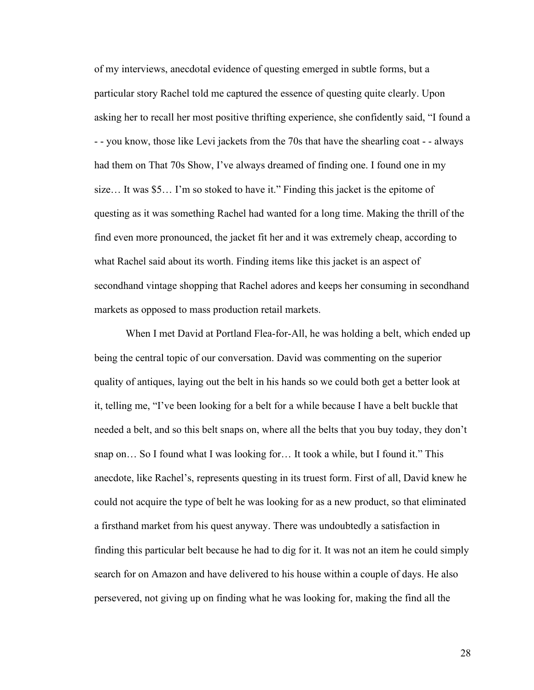of my interviews, anecdotal evidence of questing emerged in subtle forms, but a particular story Rachel told me captured the essence of questing quite clearly. Upon asking her to recall her most positive thrifting experience, she confidently said, "I found a - - you know, those like Levi jackets from the 70s that have the shearling coat - - always had them on That 70s Show, I've always dreamed of finding one. I found one in my size… It was \$5… I'm so stoked to have it." Finding this jacket is the epitome of questing as it was something Rachel had wanted for a long time. Making the thrill of the find even more pronounced, the jacket fit her and it was extremely cheap, according to what Rachel said about its worth. Finding items like this jacket is an aspect of secondhand vintage shopping that Rachel adores and keeps her consuming in secondhand markets as opposed to mass production retail markets.

When I met David at Portland Flea-for-All, he was holding a belt, which ended up being the central topic of our conversation. David was commenting on the superior quality of antiques, laying out the belt in his hands so we could both get a better look at it, telling me, "I've been looking for a belt for a while because I have a belt buckle that needed a belt, and so this belt snaps on, where all the belts that you buy today, they don't snap on… So I found what I was looking for… It took a while, but I found it." This anecdote, like Rachel's, represents questing in its truest form. First of all, David knew he could not acquire the type of belt he was looking for as a new product, so that eliminated a firsthand market from his quest anyway. There was undoubtedly a satisfaction in finding this particular belt because he had to dig for it. It was not an item he could simply search for on Amazon and have delivered to his house within a couple of days. He also persevered, not giving up on finding what he was looking for, making the find all the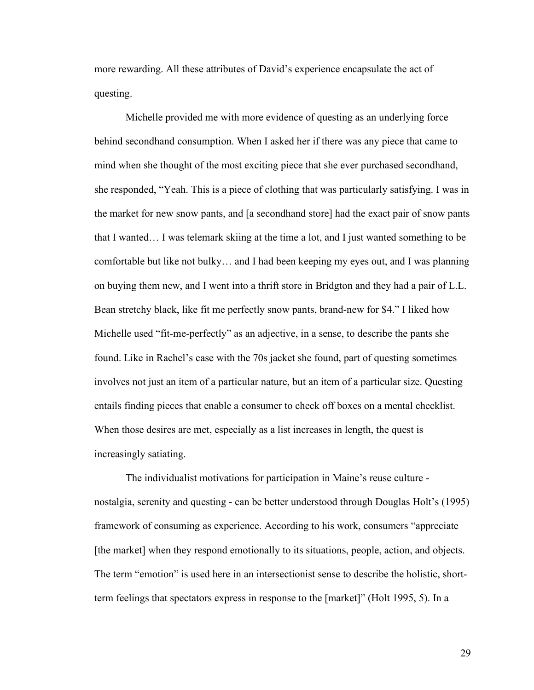more rewarding. All these attributes of David's experience encapsulate the act of questing.

Michelle provided me with more evidence of questing as an underlying force behind secondhand consumption. When I asked her if there was any piece that came to mind when she thought of the most exciting piece that she ever purchased secondhand, she responded, "Yeah. This is a piece of clothing that was particularly satisfying. I was in the market for new snow pants, and [a secondhand store] had the exact pair of snow pants that I wanted… I was telemark skiing at the time a lot, and I just wanted something to be comfortable but like not bulky… and I had been keeping my eyes out, and I was planning on buying them new, and I went into a thrift store in Bridgton and they had a pair of L.L. Bean stretchy black, like fit me perfectly snow pants, brand-new for \$4." I liked how Michelle used "fit-me-perfectly" as an adjective, in a sense, to describe the pants she found. Like in Rachel's case with the 70s jacket she found, part of questing sometimes involves not just an item of a particular nature, but an item of a particular size. Questing entails finding pieces that enable a consumer to check off boxes on a mental checklist. When those desires are met, especially as a list increases in length, the quest is increasingly satiating.

The individualist motivations for participation in Maine's reuse culture nostalgia, serenity and questing - can be better understood through Douglas Holt's (1995) framework of consuming as experience. According to his work, consumers "appreciate [the market] when they respond emotionally to its situations, people, action, and objects. The term "emotion" is used here in an intersectionist sense to describe the holistic, shortterm feelings that spectators express in response to the [market]" (Holt 1995, 5). In a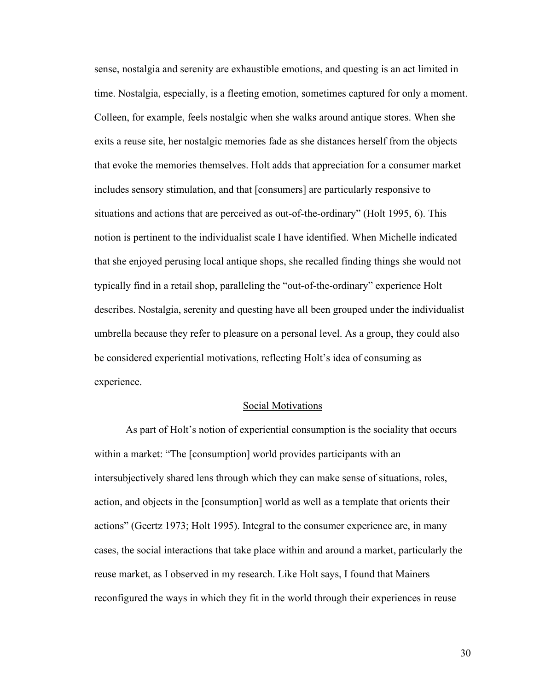sense, nostalgia and serenity are exhaustible emotions, and questing is an act limited in time. Nostalgia, especially, is a fleeting emotion, sometimes captured for only a moment. Colleen, for example, feels nostalgic when she walks around antique stores. When she exits a reuse site, her nostalgic memories fade as she distances herself from the objects that evoke the memories themselves. Holt adds that appreciation for a consumer market includes sensory stimulation, and that [consumers] are particularly responsive to situations and actions that are perceived as out-of-the-ordinary" (Holt 1995, 6). This notion is pertinent to the individualist scale I have identified. When Michelle indicated that she enjoyed perusing local antique shops, she recalled finding things she would not typically find in a retail shop, paralleling the "out-of-the-ordinary" experience Holt describes. Nostalgia, serenity and questing have all been grouped under the individualist umbrella because they refer to pleasure on a personal level. As a group, they could also be considered experiential motivations, reflecting Holt's idea of consuming as experience.

#### Social Motivations

As part of Holt's notion of experiential consumption is the sociality that occurs within a market: "The [consumption] world provides participants with an intersubjectively shared lens through which they can make sense of situations, roles, action, and objects in the [consumption] world as well as a template that orients their actions" (Geertz 1973; Holt 1995). Integral to the consumer experience are, in many cases, the social interactions that take place within and around a market, particularly the reuse market, as I observed in my research. Like Holt says, I found that Mainers reconfigured the ways in which they fit in the world through their experiences in reuse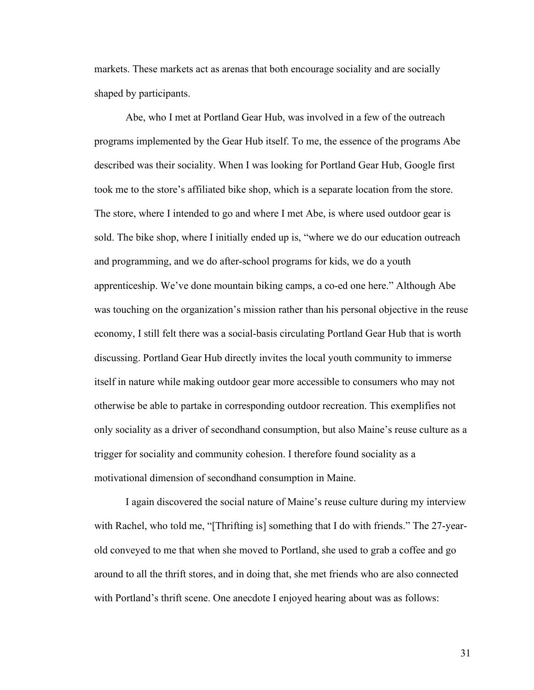markets. These markets act as arenas that both encourage sociality and are socially shaped by participants.

Abe, who I met at Portland Gear Hub, was involved in a few of the outreach programs implemented by the Gear Hub itself. To me, the essence of the programs Abe described was their sociality. When I was looking for Portland Gear Hub, Google first took me to the store's affiliated bike shop, which is a separate location from the store. The store, where I intended to go and where I met Abe, is where used outdoor gear is sold. The bike shop, where I initially ended up is, "where we do our education outreach and programming, and we do after-school programs for kids, we do a youth apprenticeship. We've done mountain biking camps, a co-ed one here." Although Abe was touching on the organization's mission rather than his personal objective in the reuse economy, I still felt there was a social-basis circulating Portland Gear Hub that is worth discussing. Portland Gear Hub directly invites the local youth community to immerse itself in nature while making outdoor gear more accessible to consumers who may not otherwise be able to partake in corresponding outdoor recreation. This exemplifies not only sociality as a driver of secondhand consumption, but also Maine's reuse culture as a trigger for sociality and community cohesion. I therefore found sociality as a motivational dimension of secondhand consumption in Maine.

I again discovered the social nature of Maine's reuse culture during my interview with Rachel, who told me, "[Thrifting is] something that I do with friends." The 27-yearold conveyed to me that when she moved to Portland, she used to grab a coffee and go around to all the thrift stores, and in doing that, she met friends who are also connected with Portland's thrift scene. One anecdote I enjoyed hearing about was as follows: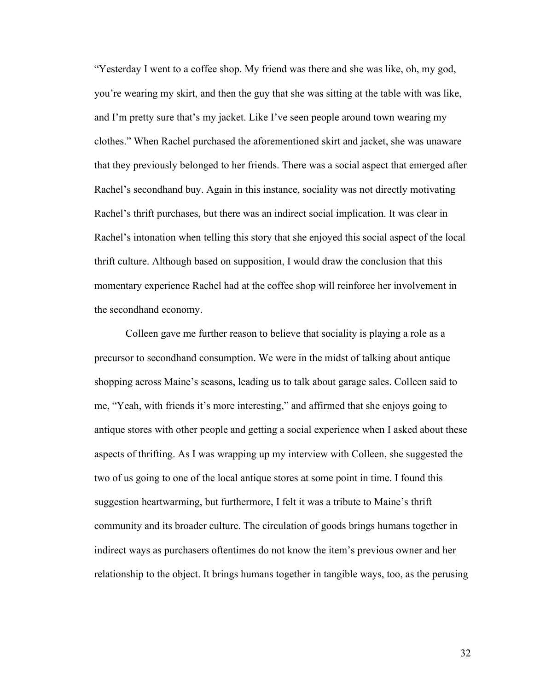"Yesterday I went to a coffee shop. My friend was there and she was like, oh, my god, you're wearing my skirt, and then the guy that she was sitting at the table with was like, and I'm pretty sure that's my jacket. Like I've seen people around town wearing my clothes." When Rachel purchased the aforementioned skirt and jacket, she was unaware that they previously belonged to her friends. There was a social aspect that emerged after Rachel's secondhand buy. Again in this instance, sociality was not directly motivating Rachel's thrift purchases, but there was an indirect social implication. It was clear in Rachel's intonation when telling this story that she enjoyed this social aspect of the local thrift culture. Although based on supposition, I would draw the conclusion that this momentary experience Rachel had at the coffee shop will reinforce her involvement in the secondhand economy.

Colleen gave me further reason to believe that sociality is playing a role as a precursor to secondhand consumption. We were in the midst of talking about antique shopping across Maine's seasons, leading us to talk about garage sales. Colleen said to me, "Yeah, with friends it's more interesting," and affirmed that she enjoys going to antique stores with other people and getting a social experience when I asked about these aspects of thrifting. As I was wrapping up my interview with Colleen, she suggested the two of us going to one of the local antique stores at some point in time. I found this suggestion heartwarming, but furthermore, I felt it was a tribute to Maine's thrift community and its broader culture. The circulation of goods brings humans together in indirect ways as purchasers oftentimes do not know the item's previous owner and her relationship to the object. It brings humans together in tangible ways, too, as the perusing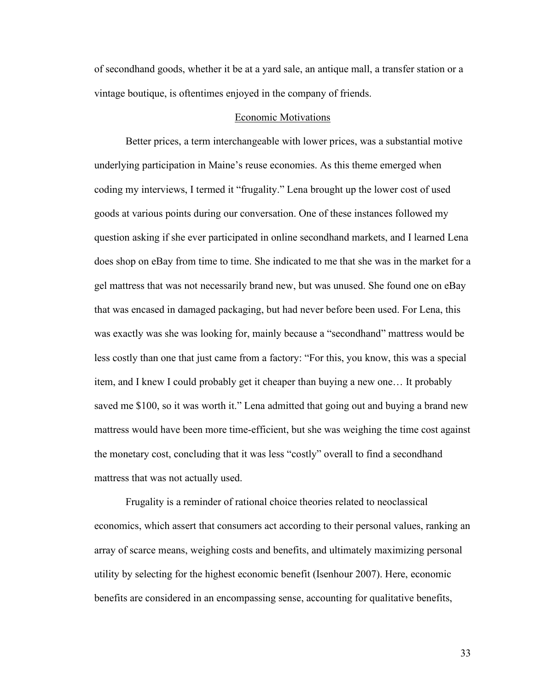of secondhand goods, whether it be at a yard sale, an antique mall, a transfer station or a vintage boutique, is oftentimes enjoyed in the company of friends.

#### Economic Motivations

Better prices, a term interchangeable with lower prices, was a substantial motive underlying participation in Maine's reuse economies. As this theme emerged when coding my interviews, I termed it "frugality." Lena brought up the lower cost of used goods at various points during our conversation. One of these instances followed my question asking if she ever participated in online secondhand markets, and I learned Lena does shop on eBay from time to time. She indicated to me that she was in the market for a gel mattress that was not necessarily brand new, but was unused. She found one on eBay that was encased in damaged packaging, but had never before been used. For Lena, this was exactly was she was looking for, mainly because a "secondhand" mattress would be less costly than one that just came from a factory: "For this, you know, this was a special item, and I knew I could probably get it cheaper than buying a new one… It probably saved me \$100, so it was worth it." Lena admitted that going out and buying a brand new mattress would have been more time-efficient, but she was weighing the time cost against the monetary cost, concluding that it was less "costly" overall to find a secondhand mattress that was not actually used.

Frugality is a reminder of rational choice theories related to neoclassical economics, which assert that consumers act according to their personal values, ranking an array of scarce means, weighing costs and benefits, and ultimately maximizing personal utility by selecting for the highest economic benefit (Isenhour 2007). Here, economic benefits are considered in an encompassing sense, accounting for qualitative benefits,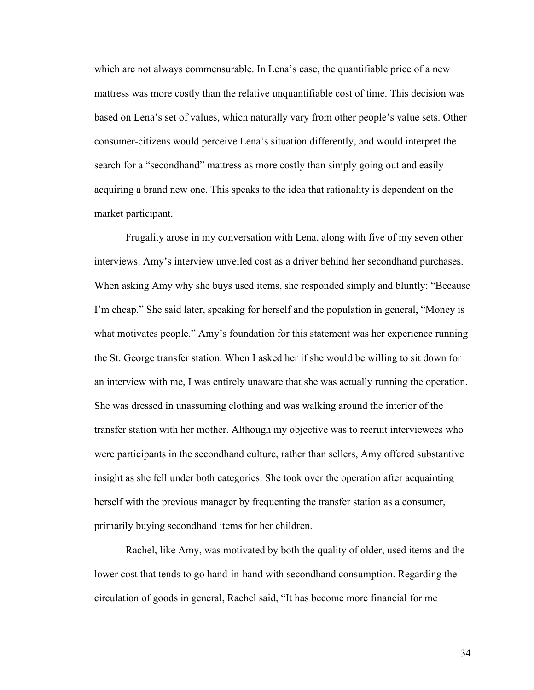which are not always commensurable. In Lena's case, the quantifiable price of a new mattress was more costly than the relative unquantifiable cost of time. This decision was based on Lena's set of values, which naturally vary from other people's value sets. Other consumer-citizens would perceive Lena's situation differently, and would interpret the search for a "secondhand" mattress as more costly than simply going out and easily acquiring a brand new one. This speaks to the idea that rationality is dependent on the market participant.

Frugality arose in my conversation with Lena, along with five of my seven other interviews. Amy's interview unveiled cost as a driver behind her secondhand purchases. When asking Amy why she buys used items, she responded simply and bluntly: "Because I'm cheap." She said later, speaking for herself and the population in general, "Money is what motivates people." Amy's foundation for this statement was her experience running the St. George transfer station. When I asked her if she would be willing to sit down for an interview with me, I was entirely unaware that she was actually running the operation. She was dressed in unassuming clothing and was walking around the interior of the transfer station with her mother. Although my objective was to recruit interviewees who were participants in the secondhand culture, rather than sellers, Amy offered substantive insight as she fell under both categories. She took over the operation after acquainting herself with the previous manager by frequenting the transfer station as a consumer, primarily buying secondhand items for her children.

Rachel, like Amy, was motivated by both the quality of older, used items and the lower cost that tends to go hand-in-hand with secondhand consumption. Regarding the circulation of goods in general, Rachel said, "It has become more financial for me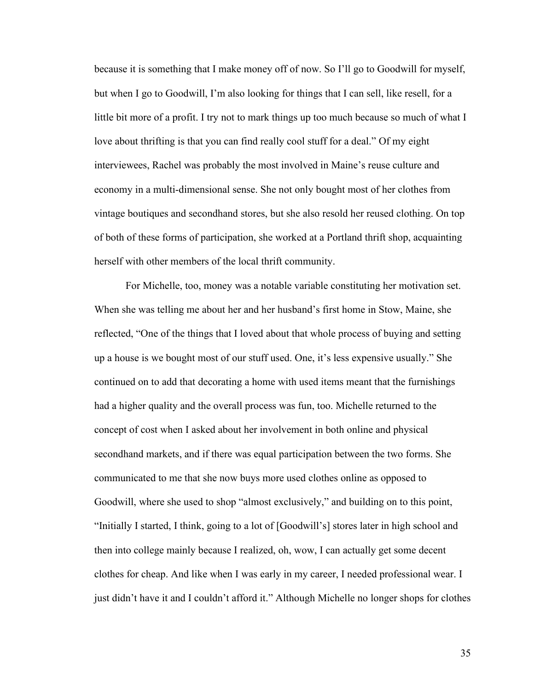because it is something that I make money off of now. So I'll go to Goodwill for myself, but when I go to Goodwill, I'm also looking for things that I can sell, like resell, for a little bit more of a profit. I try not to mark things up too much because so much of what I love about thrifting is that you can find really cool stuff for a deal." Of my eight interviewees, Rachel was probably the most involved in Maine's reuse culture and economy in a multi-dimensional sense. She not only bought most of her clothes from vintage boutiques and secondhand stores, but she also resold her reused clothing. On top of both of these forms of participation, she worked at a Portland thrift shop, acquainting herself with other members of the local thrift community.

For Michelle, too, money was a notable variable constituting her motivation set. When she was telling me about her and her husband's first home in Stow, Maine, she reflected, "One of the things that I loved about that whole process of buying and setting up a house is we bought most of our stuff used. One, it's less expensive usually." She continued on to add that decorating a home with used items meant that the furnishings had a higher quality and the overall process was fun, too. Michelle returned to the concept of cost when I asked about her involvement in both online and physical secondhand markets, and if there was equal participation between the two forms. She communicated to me that she now buys more used clothes online as opposed to Goodwill, where she used to shop "almost exclusively," and building on to this point, "Initially I started, I think, going to a lot of [Goodwill's] stores later in high school and then into college mainly because I realized, oh, wow, I can actually get some decent clothes for cheap. And like when I was early in my career, I needed professional wear. I just didn't have it and I couldn't afford it." Although Michelle no longer shops for clothes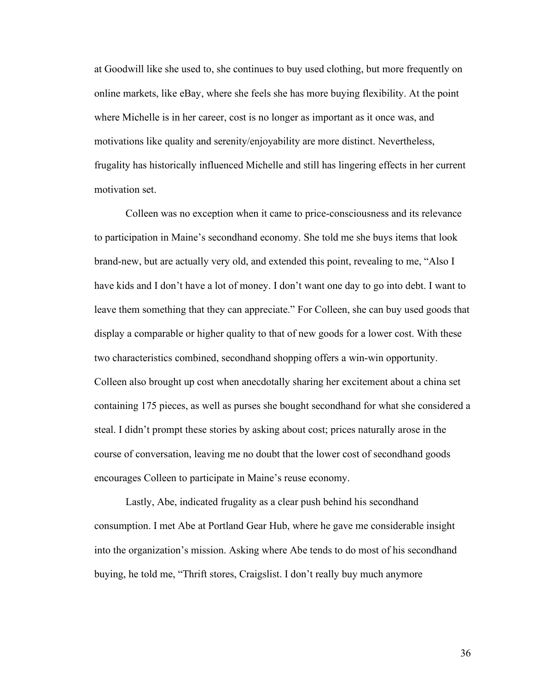at Goodwill like she used to, she continues to buy used clothing, but more frequently on online markets, like eBay, where she feels she has more buying flexibility. At the point where Michelle is in her career, cost is no longer as important as it once was, and motivations like quality and serenity/enjoyability are more distinct. Nevertheless, frugality has historically influenced Michelle and still has lingering effects in her current motivation set.

Colleen was no exception when it came to price-consciousness and its relevance to participation in Maine's secondhand economy. She told me she buys items that look brand-new, but are actually very old, and extended this point, revealing to me, "Also I have kids and I don't have a lot of money. I don't want one day to go into debt. I want to leave them something that they can appreciate." For Colleen, she can buy used goods that display a comparable or higher quality to that of new goods for a lower cost. With these two characteristics combined, secondhand shopping offers a win-win opportunity. Colleen also brought up cost when anecdotally sharing her excitement about a china set containing 175 pieces, as well as purses she bought secondhand for what she considered a steal. I didn't prompt these stories by asking about cost; prices naturally arose in the course of conversation, leaving me no doubt that the lower cost of secondhand goods encourages Colleen to participate in Maine's reuse economy.

Lastly, Abe, indicated frugality as a clear push behind his secondhand consumption. I met Abe at Portland Gear Hub, where he gave me considerable insight into the organization's mission. Asking where Abe tends to do most of his secondhand buying, he told me, "Thrift stores, Craigslist. I don't really buy much anymore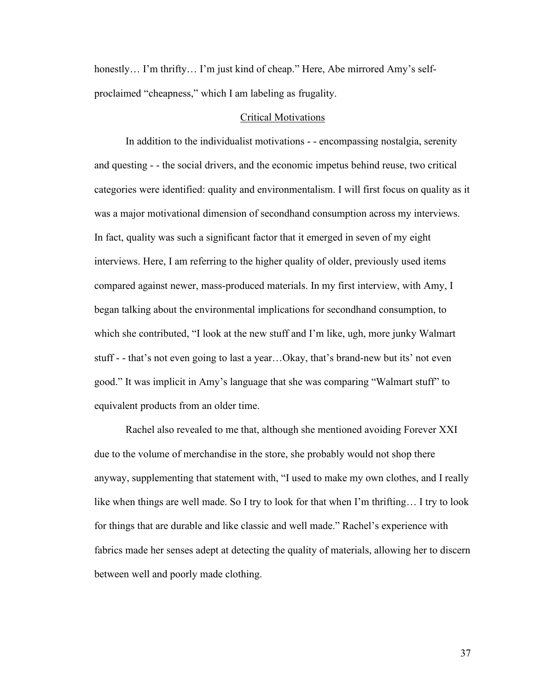honestly... I'm thrifty... I'm just kind of cheap." Here, Abe mirrored Amy's selfproclaimed "cheapness," which I am labeling as frugality.

#### Critical Motivations

In addition to the individualist motivations - - encompassing nostalgia, serenity and questing - - the social drivers, and the economic impetus behind reuse, two critical categories were identified: quality and environmentalism. I will first focus on quality as it was a major motivational dimension of secondhand consumption across my interviews. In fact, quality was such a significant factor that it emerged in seven of my eight interviews. Here, I am referring to the higher quality of older, previously used items compared against newer, mass-produced materials. In my first interview, with Amy, I began talking about the environmental implications for secondhand consumption, to which she contributed, "I look at the new stuff and I'm like, ugh, more junky Walmart stuff - - that's not even going to last a year…Okay, that's brand-new but its' not even good." It was implicit in Amy's language that she was comparing "Walmart stuff" to equivalent products from an older time.

Rachel also revealed to me that, although she mentioned avoiding Forever XXI due to the volume of merchandise in the store, she probably would not shop there anyway, supplementing that statement with, "I used to make my own clothes, and I really like when things are well made. So I try to look for that when I'm thrifting… I try to look for things that are durable and like classic and well made." Rachel's experience with fabrics made her senses adept at detecting the quality of materials, allowing her to discern between well and poorly made clothing.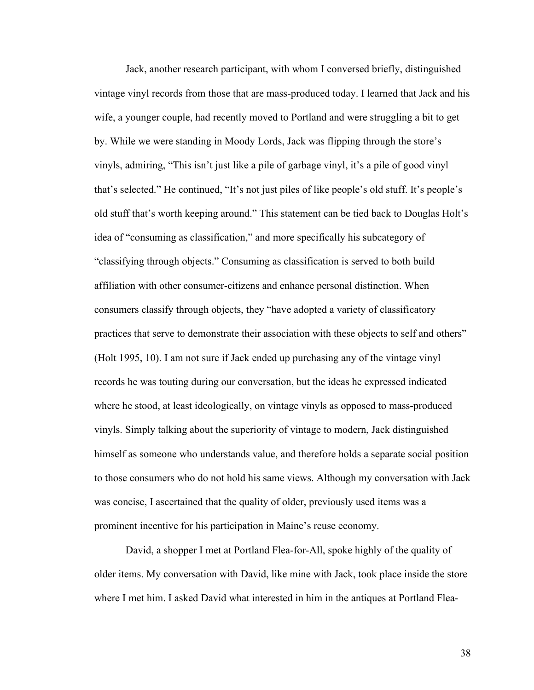Jack, another research participant, with whom I conversed briefly, distinguished vintage vinyl records from those that are mass-produced today. I learned that Jack and his wife, a younger couple, had recently moved to Portland and were struggling a bit to get by. While we were standing in Moody Lords, Jack was flipping through the store's vinyls, admiring, "This isn't just like a pile of garbage vinyl, it's a pile of good vinyl that's selected." He continued, "It's not just piles of like people's old stuff. It's people's old stuff that's worth keeping around." This statement can be tied back to Douglas Holt's idea of "consuming as classification," and more specifically his subcategory of "classifying through objects." Consuming as classification is served to both build affiliation with other consumer-citizens and enhance personal distinction. When consumers classify through objects, they "have adopted a variety of classificatory practices that serve to demonstrate their association with these objects to self and others" (Holt 1995, 10). I am not sure if Jack ended up purchasing any of the vintage vinyl records he was touting during our conversation, but the ideas he expressed indicated where he stood, at least ideologically, on vintage vinyls as opposed to mass-produced vinyls. Simply talking about the superiority of vintage to modern, Jack distinguished himself as someone who understands value, and therefore holds a separate social position to those consumers who do not hold his same views. Although my conversation with Jack was concise, I ascertained that the quality of older, previously used items was a prominent incentive for his participation in Maine's reuse economy.

David, a shopper I met at Portland Flea-for-All, spoke highly of the quality of older items. My conversation with David, like mine with Jack, took place inside the store where I met him. I asked David what interested in him in the antiques at Portland Flea-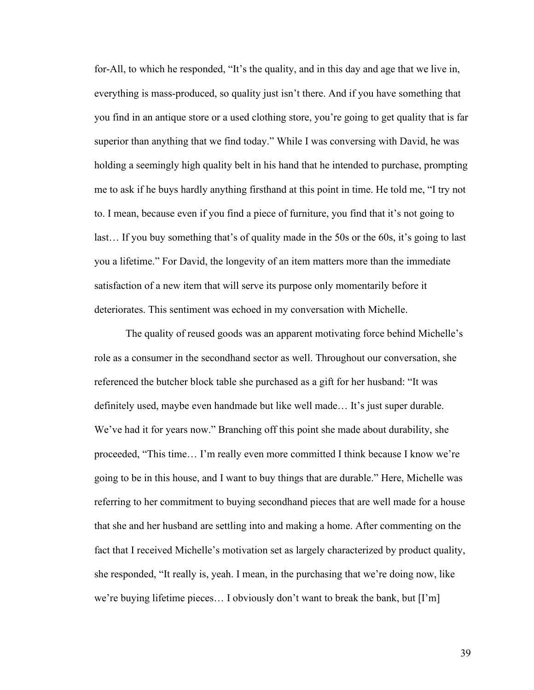for-All, to which he responded, "It's the quality, and in this day and age that we live in, everything is mass-produced, so quality just isn't there. And if you have something that you find in an antique store or a used clothing store, you're going to get quality that is far superior than anything that we find today." While I was conversing with David, he was holding a seemingly high quality belt in his hand that he intended to purchase, prompting me to ask if he buys hardly anything firsthand at this point in time. He told me, "I try not to. I mean, because even if you find a piece of furniture, you find that it's not going to last… If you buy something that's of quality made in the 50s or the 60s, it's going to last you a lifetime." For David, the longevity of an item matters more than the immediate satisfaction of a new item that will serve its purpose only momentarily before it deteriorates. This sentiment was echoed in my conversation with Michelle.

The quality of reused goods was an apparent motivating force behind Michelle's role as a consumer in the secondhand sector as well. Throughout our conversation, she referenced the butcher block table she purchased as a gift for her husband: "It was definitely used, maybe even handmade but like well made… It's just super durable. We've had it for years now." Branching off this point she made about durability, she proceeded, "This time… I'm really even more committed I think because I know we're going to be in this house, and I want to buy things that are durable." Here, Michelle was referring to her commitment to buying secondhand pieces that are well made for a house that she and her husband are settling into and making a home. After commenting on the fact that I received Michelle's motivation set as largely characterized by product quality, she responded, "It really is, yeah. I mean, in the purchasing that we're doing now, like we're buying lifetime pieces… I obviously don't want to break the bank, but [I'm]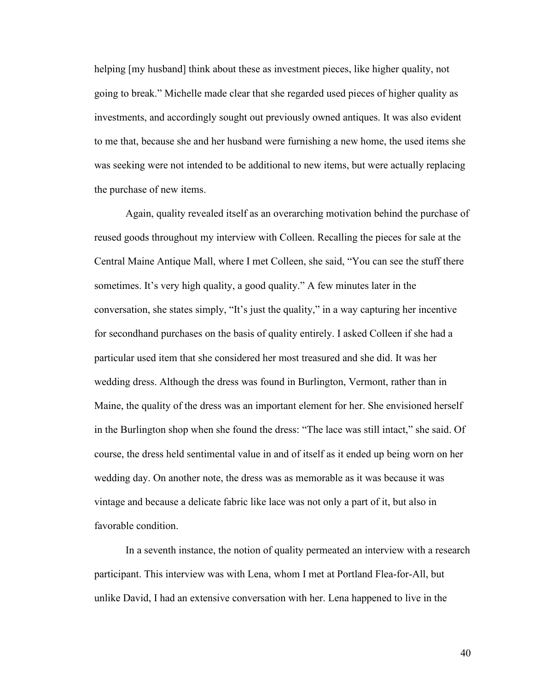helping [my husband] think about these as investment pieces, like higher quality, not going to break." Michelle made clear that she regarded used pieces of higher quality as investments, and accordingly sought out previously owned antiques. It was also evident to me that, because she and her husband were furnishing a new home, the used items she was seeking were not intended to be additional to new items, but were actually replacing the purchase of new items.

Again, quality revealed itself as an overarching motivation behind the purchase of reused goods throughout my interview with Colleen. Recalling the pieces for sale at the Central Maine Antique Mall, where I met Colleen, she said, "You can see the stuff there sometimes. It's very high quality, a good quality." A few minutes later in the conversation, she states simply, "It's just the quality," in a way capturing her incentive for secondhand purchases on the basis of quality entirely. I asked Colleen if she had a particular used item that she considered her most treasured and she did. It was her wedding dress. Although the dress was found in Burlington, Vermont, rather than in Maine, the quality of the dress was an important element for her. She envisioned herself in the Burlington shop when she found the dress: "The lace was still intact," she said. Of course, the dress held sentimental value in and of itself as it ended up being worn on her wedding day. On another note, the dress was as memorable as it was because it was vintage and because a delicate fabric like lace was not only a part of it, but also in favorable condition.

In a seventh instance, the notion of quality permeated an interview with a research participant. This interview was with Lena, whom I met at Portland Flea-for-All, but unlike David, I had an extensive conversation with her. Lena happened to live in the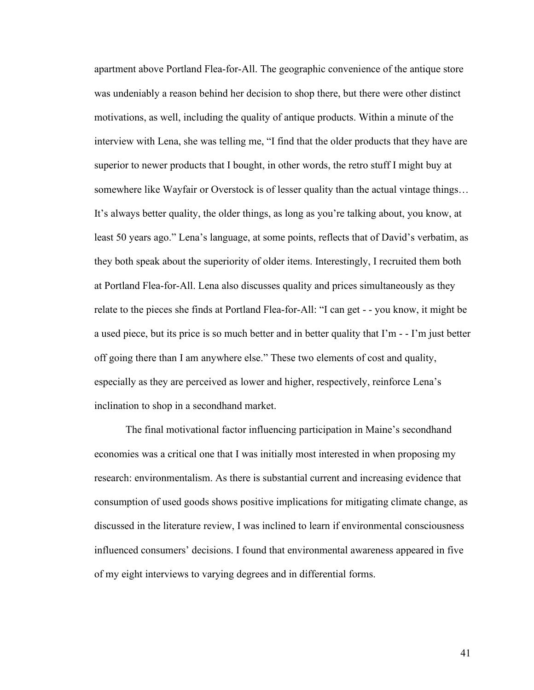apartment above Portland Flea-for-All. The geographic convenience of the antique store was undeniably a reason behind her decision to shop there, but there were other distinct motivations, as well, including the quality of antique products. Within a minute of the interview with Lena, she was telling me, "I find that the older products that they have are superior to newer products that I bought, in other words, the retro stuff I might buy at somewhere like Wayfair or Overstock is of lesser quality than the actual vintage things… It's always better quality, the older things, as long as you're talking about, you know, at least 50 years ago." Lena's language, at some points, reflects that of David's verbatim, as they both speak about the superiority of older items. Interestingly, I recruited them both at Portland Flea-for-All. Lena also discusses quality and prices simultaneously as they relate to the pieces she finds at Portland Flea-for-All: "I can get - - you know, it might be a used piece, but its price is so much better and in better quality that I'm - - I'm just better off going there than I am anywhere else." These two elements of cost and quality, especially as they are perceived as lower and higher, respectively, reinforce Lena's inclination to shop in a secondhand market.

The final motivational factor influencing participation in Maine's secondhand economies was a critical one that I was initially most interested in when proposing my research: environmentalism. As there is substantial current and increasing evidence that consumption of used goods shows positive implications for mitigating climate change, as discussed in the literature review, I was inclined to learn if environmental consciousness influenced consumers' decisions. I found that environmental awareness appeared in five of my eight interviews to varying degrees and in differential forms.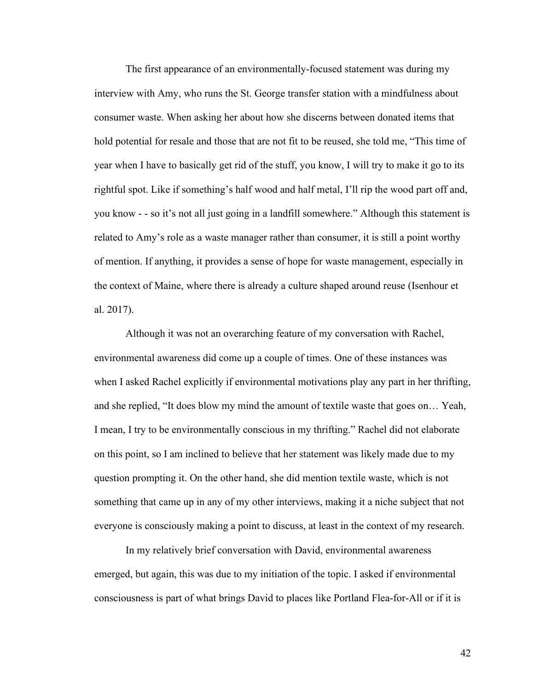The first appearance of an environmentally-focused statement was during my interview with Amy, who runs the St. George transfer station with a mindfulness about consumer waste. When asking her about how she discerns between donated items that hold potential for resale and those that are not fit to be reused, she told me, "This time of year when I have to basically get rid of the stuff, you know, I will try to make it go to its rightful spot. Like if something's half wood and half metal, I'll rip the wood part off and, you know - - so it's not all just going in a landfill somewhere." Although this statement is related to Amy's role as a waste manager rather than consumer, it is still a point worthy of mention. If anything, it provides a sense of hope for waste management, especially in the context of Maine, where there is already a culture shaped around reuse (Isenhour et al. 2017).

Although it was not an overarching feature of my conversation with Rachel, environmental awareness did come up a couple of times. One of these instances was when I asked Rachel explicitly if environmental motivations play any part in her thrifting, and she replied, "It does blow my mind the amount of textile waste that goes on… Yeah, I mean, I try to be environmentally conscious in my thrifting." Rachel did not elaborate on this point, so I am inclined to believe that her statement was likely made due to my question prompting it. On the other hand, she did mention textile waste, which is not something that came up in any of my other interviews, making it a niche subject that not everyone is consciously making a point to discuss, at least in the context of my research.

In my relatively brief conversation with David, environmental awareness emerged, but again, this was due to my initiation of the topic. I asked if environmental consciousness is part of what brings David to places like Portland Flea-for-All or if it is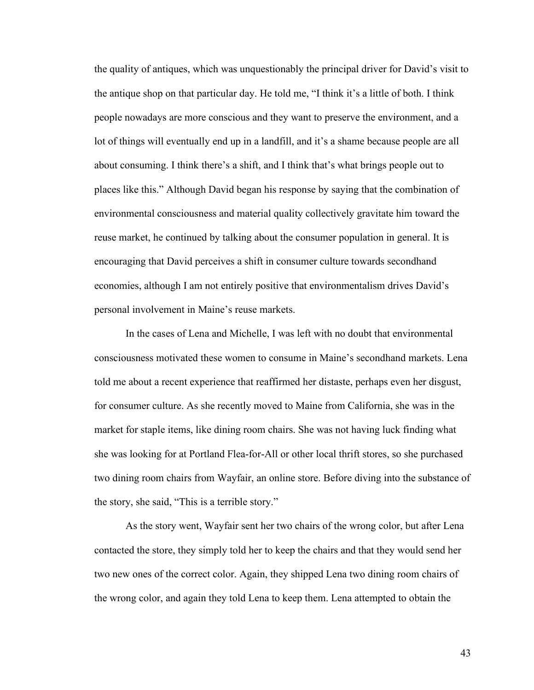the quality of antiques, which was unquestionably the principal driver for David's visit to the antique shop on that particular day. He told me, "I think it's a little of both. I think people nowadays are more conscious and they want to preserve the environment, and a lot of things will eventually end up in a landfill, and it's a shame because people are all about consuming. I think there's a shift, and I think that's what brings people out to places like this." Although David began his response by saying that the combination of environmental consciousness and material quality collectively gravitate him toward the reuse market, he continued by talking about the consumer population in general. It is encouraging that David perceives a shift in consumer culture towards secondhand economies, although I am not entirely positive that environmentalism drives David's personal involvement in Maine's reuse markets.

In the cases of Lena and Michelle, I was left with no doubt that environmental consciousness motivated these women to consume in Maine's secondhand markets. Lena told me about a recent experience that reaffirmed her distaste, perhaps even her disgust, for consumer culture. As she recently moved to Maine from California, she was in the market for staple items, like dining room chairs. She was not having luck finding what she was looking for at Portland Flea-for-All or other local thrift stores, so she purchased two dining room chairs from Wayfair, an online store. Before diving into the substance of the story, she said, "This is a terrible story."

As the story went, Wayfair sent her two chairs of the wrong color, but after Lena contacted the store, they simply told her to keep the chairs and that they would send her two new ones of the correct color. Again, they shipped Lena two dining room chairs of the wrong color, and again they told Lena to keep them. Lena attempted to obtain the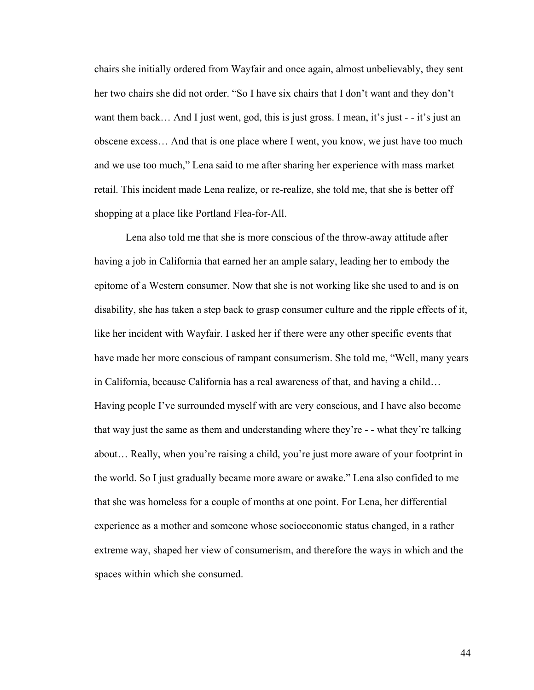chairs she initially ordered from Wayfair and once again, almost unbelievably, they sent her two chairs she did not order. "So I have six chairs that I don't want and they don't want them back... And I just went, god, this is just gross. I mean, it's just  $-$  it's just an obscene excess… And that is one place where I went, you know, we just have too much and we use too much," Lena said to me after sharing her experience with mass market retail. This incident made Lena realize, or re-realize, she told me, that she is better off shopping at a place like Portland Flea-for-All.

Lena also told me that she is more conscious of the throw-away attitude after having a job in California that earned her an ample salary, leading her to embody the epitome of a Western consumer. Now that she is not working like she used to and is on disability, she has taken a step back to grasp consumer culture and the ripple effects of it, like her incident with Wayfair. I asked her if there were any other specific events that have made her more conscious of rampant consumerism. She told me, "Well, many years in California, because California has a real awareness of that, and having a child… Having people I've surrounded myself with are very conscious, and I have also become that way just the same as them and understanding where they're - - what they're talking about… Really, when you're raising a child, you're just more aware of your footprint in the world. So I just gradually became more aware or awake." Lena also confided to me that she was homeless for a couple of months at one point. For Lena, her differential experience as a mother and someone whose socioeconomic status changed, in a rather extreme way, shaped her view of consumerism, and therefore the ways in which and the spaces within which she consumed.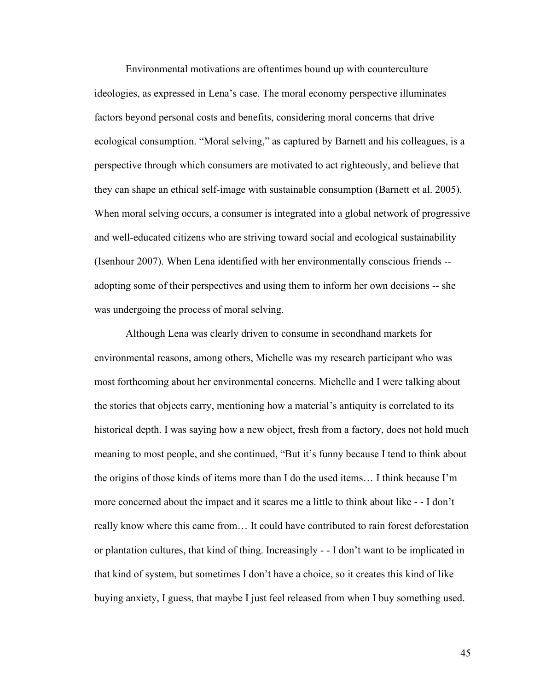Environmental motivations are oftentimes bound up with counterculture ideologies, as expressed in Lena's case. The moral economy perspective illuminates factors beyond personal costs and benefits, considering moral concerns that drive ecological consumption. "Moral selving," as captured by Barnett and his colleagues, is a perspective through which consumers are motivated to act righteously, and believe that they can shape an ethical self-image with sustainable consumption (Barnett et al. 2005). When moral selving occurs, a consumer is integrated into a global network of progressive and well-educated citizens who are striving toward social and ecological sustainability (Isenhour 2007). When Lena identified with her environmentally conscious friends - adopting some of their perspectives and using them to inform her own decisions -- she was undergoing the process of moral selving.

Although Lena was clearly driven to consume in secondhand markets for environmental reasons, among others, Michelle was my research participant who was most forthcoming about her environmental concerns. Michelle and I were talking about the stories that objects carry, mentioning how a material's antiquity is correlated to its historical depth. I was saying how a new object, fresh from a factory, does not hold much meaning to most people, and she continued, "But it's funny because I tend to think about the origins of those kinds of items more than I do the used items… I think because I'm more concerned about the impact and it scares me a little to think about like - - I don't really know where this came from… It could have contributed to rain forest deforestation or plantation cultures, that kind of thing. Increasingly - - I don't want to be implicated in that kind of system, but sometimes I don't have a choice, so it creates this kind of like buying anxiety, I guess, that maybe I just feel released from when I buy something used.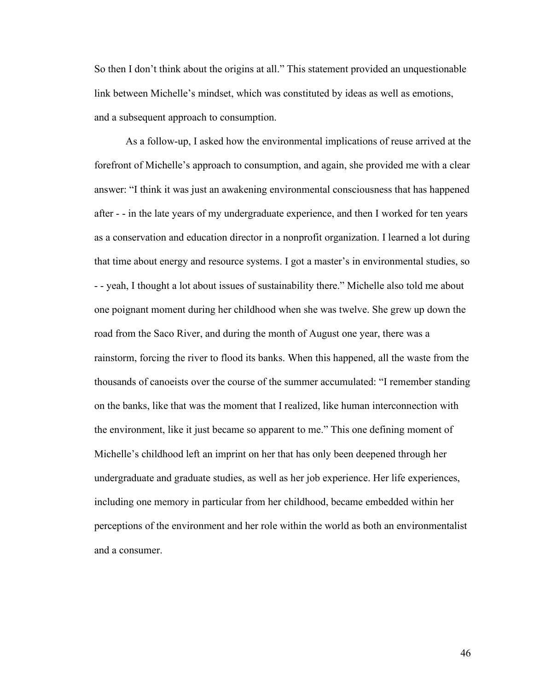So then I don't think about the origins at all." This statement provided an unquestionable link between Michelle's mindset, which was constituted by ideas as well as emotions, and a subsequent approach to consumption.

As a follow-up, I asked how the environmental implications of reuse arrived at the forefront of Michelle's approach to consumption, and again, she provided me with a clear answer: "I think it was just an awakening environmental consciousness that has happened after - - in the late years of my undergraduate experience, and then I worked for ten years as a conservation and education director in a nonprofit organization. I learned a lot during that time about energy and resource systems. I got a master's in environmental studies, so - - yeah, I thought a lot about issues of sustainability there." Michelle also told me about one poignant moment during her childhood when she was twelve. She grew up down the road from the Saco River, and during the month of August one year, there was a rainstorm, forcing the river to flood its banks. When this happened, all the waste from the thousands of canoeists over the course of the summer accumulated: "I remember standing on the banks, like that was the moment that I realized, like human interconnection with the environment, like it just became so apparent to me." This one defining moment of Michelle's childhood left an imprint on her that has only been deepened through her undergraduate and graduate studies, as well as her job experience. Her life experiences, including one memory in particular from her childhood, became embedded within her perceptions of the environment and her role within the world as both an environmentalist and a consumer.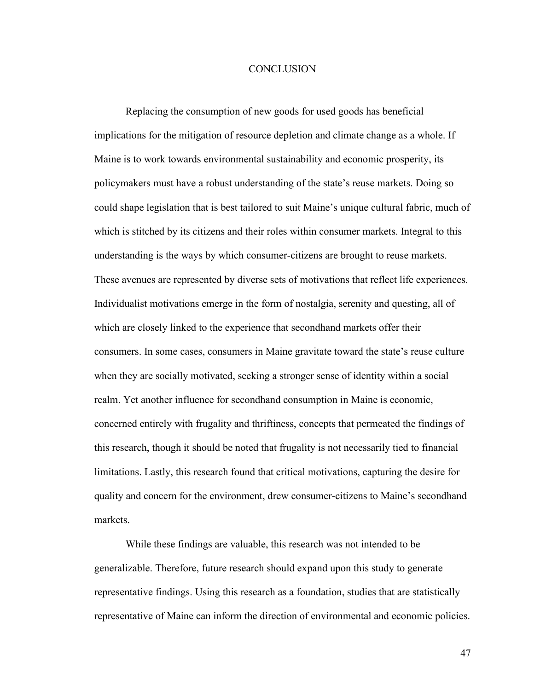### **CONCLUSION**

Replacing the consumption of new goods for used goods has beneficial implications for the mitigation of resource depletion and climate change as a whole. If Maine is to work towards environmental sustainability and economic prosperity, its policymakers must have a robust understanding of the state's reuse markets. Doing so could shape legislation that is best tailored to suit Maine's unique cultural fabric, much of which is stitched by its citizens and their roles within consumer markets. Integral to this understanding is the ways by which consumer-citizens are brought to reuse markets. These avenues are represented by diverse sets of motivations that reflect life experiences. Individualist motivations emerge in the form of nostalgia, serenity and questing, all of which are closely linked to the experience that secondhand markets offer their consumers. In some cases, consumers in Maine gravitate toward the state's reuse culture when they are socially motivated, seeking a stronger sense of identity within a social realm. Yet another influence for secondhand consumption in Maine is economic, concerned entirely with frugality and thriftiness, concepts that permeated the findings of this research, though it should be noted that frugality is not necessarily tied to financial limitations. Lastly, this research found that critical motivations, capturing the desire for quality and concern for the environment, drew consumer-citizens to Maine's secondhand markets.

While these findings are valuable, this research was not intended to be generalizable. Therefore, future research should expand upon this study to generate representative findings. Using this research as a foundation, studies that are statistically representative of Maine can inform the direction of environmental and economic policies.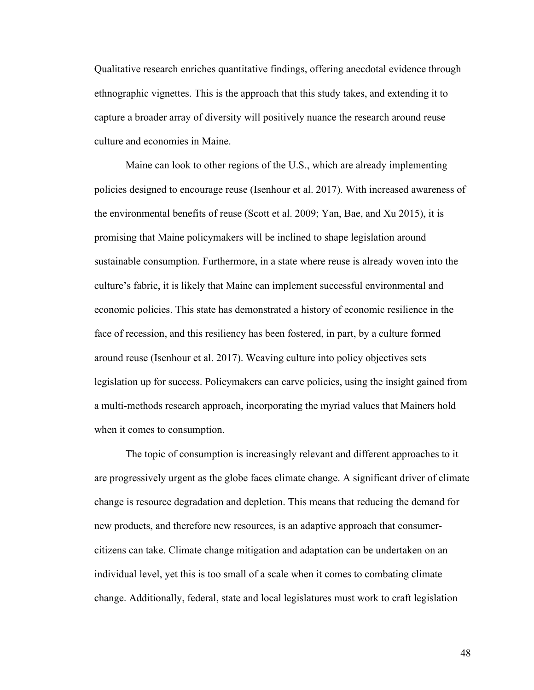Qualitative research enriches quantitative findings, offering anecdotal evidence through ethnographic vignettes. This is the approach that this study takes, and extending it to capture a broader array of diversity will positively nuance the research around reuse culture and economies in Maine.

Maine can look to other regions of the U.S., which are already implementing policies designed to encourage reuse (Isenhour et al. 2017). With increased awareness of the environmental benefits of reuse (Scott et al. 2009; Yan, Bae, and Xu 2015), it is promising that Maine policymakers will be inclined to shape legislation around sustainable consumption. Furthermore, in a state where reuse is already woven into the culture's fabric, it is likely that Maine can implement successful environmental and economic policies. This state has demonstrated a history of economic resilience in the face of recession, and this resiliency has been fostered, in part, by a culture formed around reuse (Isenhour et al. 2017). Weaving culture into policy objectives sets legislation up for success. Policymakers can carve policies, using the insight gained from a multi-methods research approach, incorporating the myriad values that Mainers hold when it comes to consumption.

The topic of consumption is increasingly relevant and different approaches to it are progressively urgent as the globe faces climate change. A significant driver of climate change is resource degradation and depletion. This means that reducing the demand for new products, and therefore new resources, is an adaptive approach that consumercitizens can take. Climate change mitigation and adaptation can be undertaken on an individual level, yet this is too small of a scale when it comes to combating climate change. Additionally, federal, state and local legislatures must work to craft legislation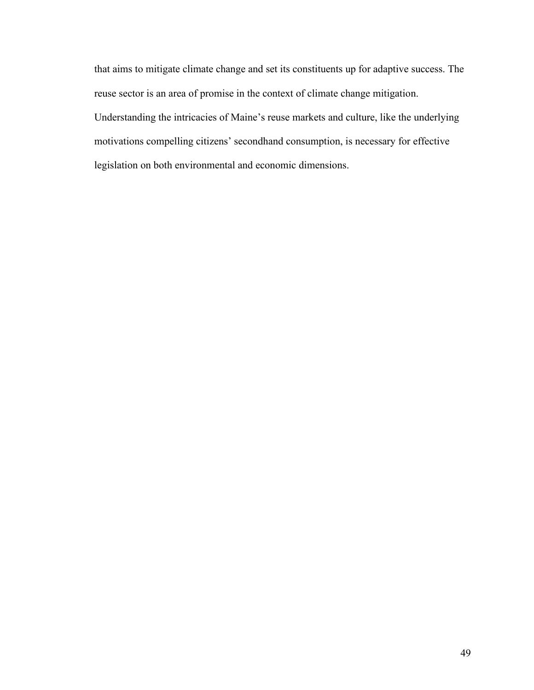that aims to mitigate climate change and set its constituents up for adaptive success. The reuse sector is an area of promise in the context of climate change mitigation. Understanding the intricacies of Maine's reuse markets and culture, like the underlying motivations compelling citizens' secondhand consumption, is necessary for effective legislation on both environmental and economic dimensions.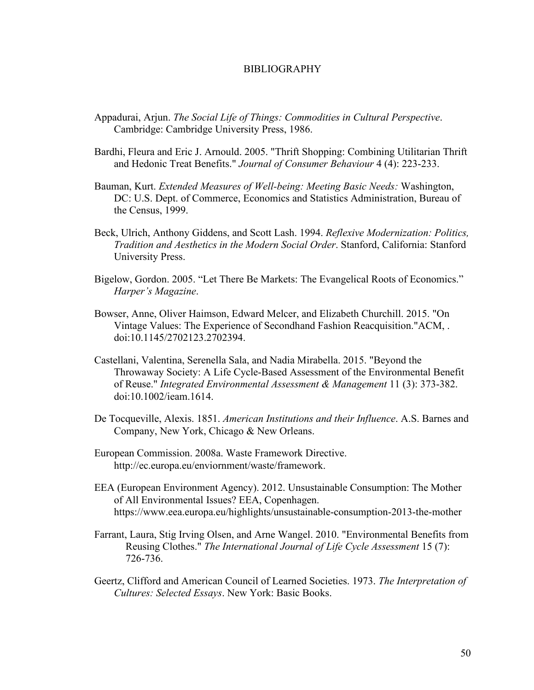## BIBLIOGRAPHY

- Appadurai, Arjun. *The Social Life of Things: Commodities in Cultural Perspective*. Cambridge: Cambridge University Press, 1986.
- Bardhi, Fleura and Eric J. Arnould. 2005. "Thrift Shopping: Combining Utilitarian Thrift and Hedonic Treat Benefits." *Journal of Consumer Behaviour* 4 (4): 223-233.
- Bauman, Kurt. *Extended Measures of Well-being: Meeting Basic Needs:* Washington, DC: U.S. Dept. of Commerce, Economics and Statistics Administration, Bureau of the Census, 1999.
- Beck, Ulrich, Anthony Giddens, and Scott Lash. 1994. *Reflexive Modernization: Politics, Tradition and Aesthetics in the Modern Social Order*. Stanford, California: Stanford University Press.
- Bigelow, Gordon. 2005. "Let There Be Markets: The Evangelical Roots of Economics." *Harper's Magazine*.
- Bowser, Anne, Oliver Haimson, Edward Melcer, and Elizabeth Churchill. 2015. "On Vintage Values: The Experience of Secondhand Fashion Reacquisition."ACM, . doi:10.1145/2702123.2702394.
- Castellani, Valentina, Serenella Sala, and Nadia Mirabella. 2015. "Beyond the Throwaway Society: A Life Cycle-Based Assessment of the Environmental Benefit of Reuse." *Integrated Environmental Assessment & Management* 11 (3): 373-382. doi:10.1002/ieam.1614.
- De Tocqueville, Alexis. 1851. *American Institutions and their Influence*. A.S. Barnes and Company, New York, Chicago & New Orleans.
- European Commission. 2008a. Waste Framework Directive. http://ec.europa.eu/enviornment/waste/framework.
- EEA (European Environment Agency). 2012. Unsustainable Consumption: The Mother of All Environmental Issues? EEA, Copenhagen. https://www.eea.europa.eu/highlights/unsustainable-consumption-2013-the-mother
- Farrant, Laura, Stig Irving Olsen, and Arne Wangel. 2010. "Environmental Benefits from Reusing Clothes." *The International Journal of Life Cycle Assessment* 15 (7): 726-736.
- Geertz, Clifford and American Council of Learned Societies. 1973. *The Interpretation of Cultures: Selected Essays*. New York: Basic Books.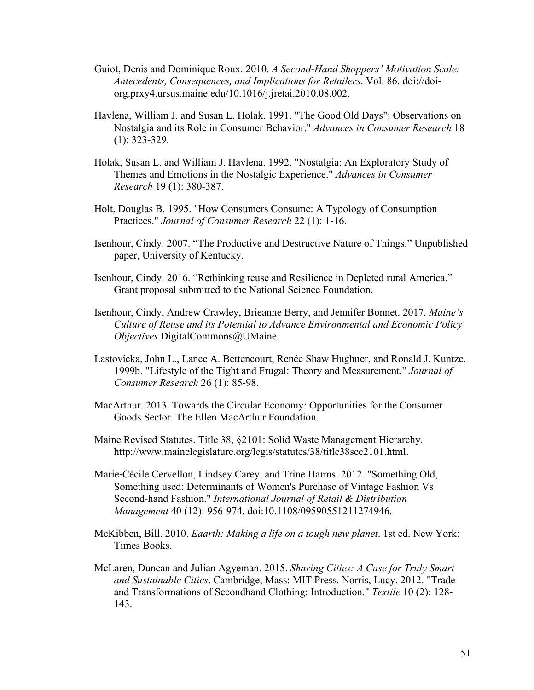- Guiot, Denis and Dominique Roux. 2010. *A Second-Hand Shoppers' Motivation Scale: Antecedents, Consequences, and Implications for Retailers*. Vol. 86. doi://doiorg.prxy4.ursus.maine.edu/10.1016/j.jretai.2010.08.002.
- Havlena, William J. and Susan L. Holak. 1991. "The Good Old Days": Observations on Nostalgia and its Role in Consumer Behavior." *Advances in Consumer Research* 18 (1): 323-329.
- Holak, Susan L. and William J. Havlena. 1992. "Nostalgia: An Exploratory Study of Themes and Emotions in the Nostalgic Experience." *Advances in Consumer Research* 19 (1): 380-387.
- Holt, Douglas B. 1995. "How Consumers Consume: A Typology of Consumption Practices." *Journal of Consumer Research* 22 (1): 1-16.
- Isenhour, Cindy. 2007. "The Productive and Destructive Nature of Things." Unpublished paper, University of Kentucky.
- Isenhour, Cindy. 2016. "Rethinking reuse and Resilience in Depleted rural America." Grant proposal submitted to the National Science Foundation.
- Isenhour, Cindy, Andrew Crawley, Brieanne Berry, and Jennifer Bonnet. 2017. *Maine's Culture of Reuse and its Potential to Advance Environmental and Economic Policy Objectives* DigitalCommons@UMaine.
- Lastovicka, John L., Lance A. Bettencourt, Renée Shaw Hughner, and Ronald J. Kuntze. 1999b. "Lifestyle of the Tight and Frugal: Theory and Measurement." *Journal of Consumer Research* 26 (1): 85-98.
- MacArthur. 2013. Towards the Circular Economy: Opportunities for the Consumer Goods Sector. The Ellen MacArthur Foundation.
- Maine Revised Statutes. Title 38, §2101: Solid Waste Management Hierarchy. http://www.mainelegislature.org/legis/statutes/38/title38sec2101.html.
- Marie‐Cécile Cervellon, Lindsey Carey, and Trine Harms. 2012. "Something Old, Something used: Determinants of Women's Purchase of Vintage Fashion Vs Second‐hand Fashion." *International Journal of Retail & Distribution Management* 40 (12): 956-974. doi:10.1108/09590551211274946.
- McKibben, Bill. 2010. *Eaarth: Making a life on a tough new planet*. 1st ed. New York: Times Books.
- McLaren, Duncan and Julian Agyeman. 2015. *Sharing Cities: A Case for Truly Smart and Sustainable Cities*. Cambridge, Mass: MIT Press. Norris, Lucy. 2012. "Trade and Transformations of Secondhand Clothing: Introduction." *Textile* 10 (2): 128- 143.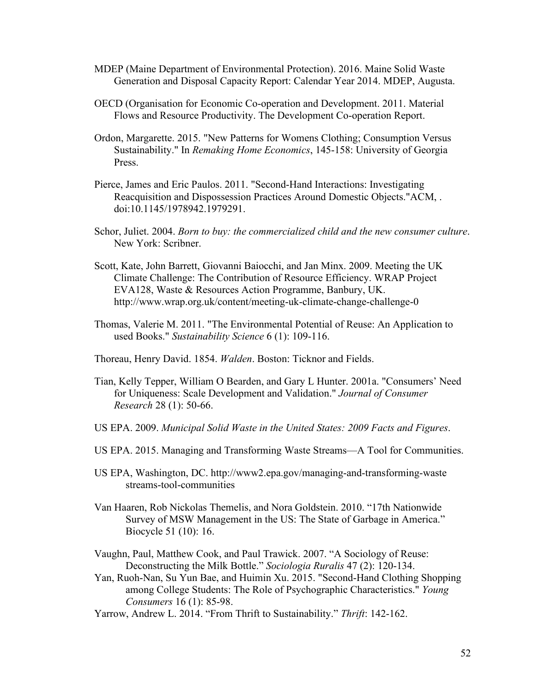- MDEP (Maine Department of Environmental Protection). 2016. Maine Solid Waste Generation and Disposal Capacity Report: Calendar Year 2014. MDEP, Augusta.
- OECD (Organisation for Economic Co-operation and Development. 2011. Material Flows and Resource Productivity. The Development Co-operation Report.
- Ordon, Margarette. 2015. "New Patterns for Womens Clothing; Consumption Versus Sustainability." In *Remaking Home Economics*, 145-158: University of Georgia Press.
- Pierce, James and Eric Paulos. 2011. "Second-Hand Interactions: Investigating Reacquisition and Dispossession Practices Around Domestic Objects."ACM, . doi:10.1145/1978942.1979291.
- Schor, Juliet. 2004. *Born to buy: the commercialized child and the new consumer culture*. New York: Scribner.
- Scott, Kate, John Barrett, Giovanni Baiocchi, and Jan Minx. 2009. Meeting the UK Climate Challenge: The Contribution of Resource Efficiency. WRAP Project EVA128, Waste & Resources Action Programme, Banbury, UK. http://www.wrap.org.uk/content/meeting-uk-climate-change-challenge-0
- Thomas, Valerie M. 2011. "The Environmental Potential of Reuse: An Application to used Books." *Sustainability Science* 6 (1): 109-116.
- Thoreau, Henry David. 1854. *Walden*. Boston: Ticknor and Fields.
- Tian, Kelly Tepper, William O Bearden, and Gary L Hunter. 2001a. "Consumers' Need for Uniqueness: Scale Development and Validation." *Journal of Consumer Research* 28 (1): 50-66.
- US EPA. 2009. *Municipal Solid Waste in the United States: 2009 Facts and Figures*.
- US EPA. 2015. Managing and Transforming Waste Streams—A Tool for Communities.
- US EPA, Washington, DC. http://www2.epa.gov/managing-and-transforming-waste streams-tool-communities
- Van Haaren, Rob Nickolas Themelis, and Nora Goldstein. 2010. "17th Nationwide Survey of MSW Management in the US: The State of Garbage in America." Biocycle 51 (10): 16.

Vaughn, Paul, Matthew Cook, and Paul Trawick. 2007. "A Sociology of Reuse: Deconstructing the Milk Bottle." *Sociologia Ruralis* 47 (2): 120-134.

- Yan, Ruoh-Nan, Su Yun Bae, and Huimin Xu. 2015. "Second-Hand Clothing Shopping among College Students: The Role of Psychographic Characteristics." *Young Consumers* 16 (1): 85-98.
- Yarrow, Andrew L. 2014. "From Thrift to Sustainability." *Thrift*: 142-162.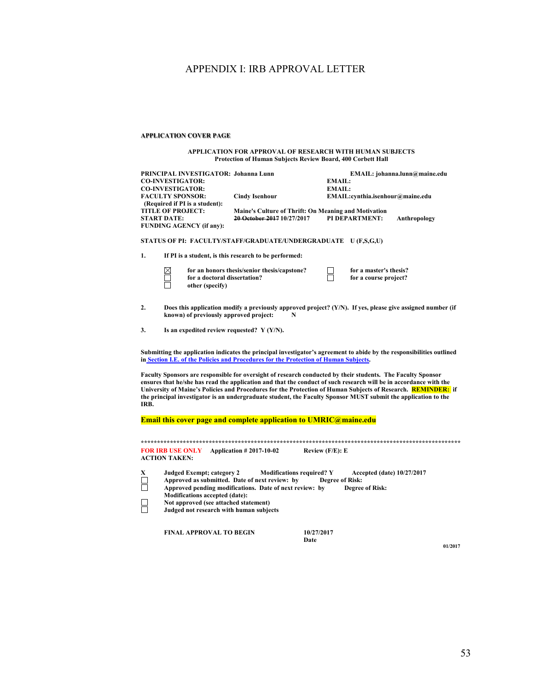## APPENDIX I: IRB APPROVAL LETTER

#### **APPLICATION COVER PAGE**

#### **APPLICATION FOR APPROVAL OF RESEARCH WITH HUMAN SUBJECTS Protection of Human Subjects Review Board, 400 Corbett Hall**

| <b>CO-INVESTIGATOR:</b>                         | PRINCIPAL INVESTIGATOR: Johanna Lunn<br><b>CO-INVESTIGATOR:</b><br><b>FACULTY SPONSOR:</b>                                                                    | <b>Cindy Isenhour</b>                                                                                                                                                                                                                                                                                                                              | <b>EMAIL:</b><br><b>EMAIL:</b>                             | EMAIL:cynthia.isenhour@maine.edu                     | EMAIL: johanna.lunn@maine.edu                                                                                         |  |  |  |
|-------------------------------------------------|---------------------------------------------------------------------------------------------------------------------------------------------------------------|----------------------------------------------------------------------------------------------------------------------------------------------------------------------------------------------------------------------------------------------------------------------------------------------------------------------------------------------------|------------------------------------------------------------|------------------------------------------------------|-----------------------------------------------------------------------------------------------------------------------|--|--|--|
| <b>START DATE:</b>                              | (Required if PI is a student):<br><b>TITLE OF PROJECT:</b><br><b>FUNDING AGENCY (if any):</b>                                                                 | Maine's Culture of Thrift: On Meaning and Motivation<br>20 October 2017 10/27/2017                                                                                                                                                                                                                                                                 |                                                            | PI DEPARTMENT:                                       | Anthropology                                                                                                          |  |  |  |
|                                                 |                                                                                                                                                               | STATUS OF PI: FACULTY/STAFF/GRADUATE/UNDERGRADUATE U (F,S,G,U)                                                                                                                                                                                                                                                                                     |                                                            |                                                      |                                                                                                                       |  |  |  |
| 1.                                              |                                                                                                                                                               | If PI is a student, is this research to be performed:                                                                                                                                                                                                                                                                                              |                                                            |                                                      |                                                                                                                       |  |  |  |
| $\boxtimes$<br>П                                | for a doctoral dissertation?<br>other (specify)                                                                                                               | for an honors thesis/senior thesis/capstone?                                                                                                                                                                                                                                                                                                       |                                                            | for a master's thesis?<br>for a course project?      |                                                                                                                       |  |  |  |
| $\overline{2}$ .                                | known) of previously approved project:                                                                                                                        | N                                                                                                                                                                                                                                                                                                                                                  |                                                            |                                                      | Does this application modify a previously approved project? $(Y/N)$ . If yes, please give assigned number (if         |  |  |  |
| 3.                                              | Is an expedited review requested? $Y(Y/N)$ .                                                                                                                  |                                                                                                                                                                                                                                                                                                                                                    |                                                            |                                                      |                                                                                                                       |  |  |  |
|                                                 |                                                                                                                                                               | in Section I.E. of the Policies and Procedures for the Protection of Human Subjects.                                                                                                                                                                                                                                                               |                                                            |                                                      | Submitting the application indicates the principal investigator's agreement to abide by the responsibilities outlined |  |  |  |
| IRB.                                            |                                                                                                                                                               | Faculty Sponsors are responsible for oversight of research conducted by their students. The Faculty Sponsor<br>ensures that he/she has read the application and that the conduct of such research will be in accordance with the<br>the principal investigator is an undergraduate student, the Faculty Sponsor MUST submit the application to the |                                                            |                                                      | University of Maine's Policies and Procedures for the Protection of Human Subjects of Research. <b>REMINDER:</b> if   |  |  |  |
|                                                 |                                                                                                                                                               | <b>Email this cover page and complete application to UMRIC@maine.edu</b>                                                                                                                                                                                                                                                                           |                                                            |                                                      |                                                                                                                       |  |  |  |
| <b>FOR IRB USE ONLY</b><br><b>ACTION TAKEN:</b> |                                                                                                                                                               | <b>Application #2017-10-02</b>                                                                                                                                                                                                                                                                                                                     | Review $(F/E)$ : E                                         |                                                      |                                                                                                                       |  |  |  |
| X<br>$\Box$                                     | <b>Judged Exempt; category 2</b><br><b>Modifications accepted (date):</b><br>Not approved (see attached statement)<br>Judged not research with human subjects | Approved as submitted. Date of next review: by<br>Approved pending modifications. Date of next review: by                                                                                                                                                                                                                                          | <b>Modifications required? Y</b><br><b>Degree of Risk:</b> | Accepted (date) 10/27/2017<br><b>Degree of Risk:</b> |                                                                                                                       |  |  |  |
|                                                 | <b>FINAL APPROVAL TO BEGIN</b>                                                                                                                                |                                                                                                                                                                                                                                                                                                                                                    | 10/27/2017<br>Date                                         |                                                      | 01/2017                                                                                                               |  |  |  |